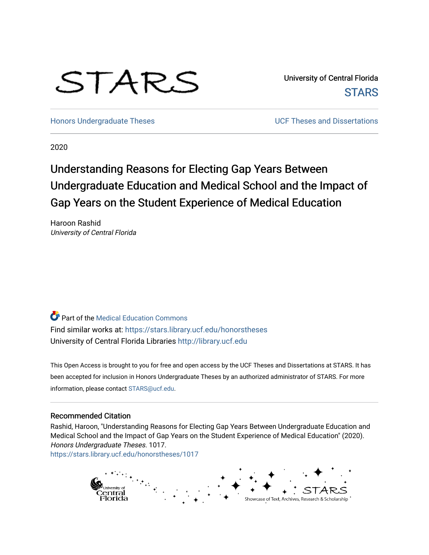# STARS

University of Central Florida **STARS** 

[Honors Undergraduate Theses](https://stars.library.ucf.edu/honorstheses) **No. 2018** UCF Theses and Dissertations

2020

# Understanding Reasons for Electing Gap Years Between Undergraduate Education and Medical School and the Impact of Gap Years on the Student Experience of Medical Education

Haroon Rashid University of Central Florida

**Part of the Medical Education Commons** Find similar works at: <https://stars.library.ucf.edu/honorstheses> University of Central Florida Libraries [http://library.ucf.edu](http://library.ucf.edu/) 

This Open Access is brought to you for free and open access by the UCF Theses and Dissertations at STARS. It has been accepted for inclusion in Honors Undergraduate Theses by an authorized administrator of STARS. For more information, please contact [STARS@ucf.edu.](mailto:STARS@ucf.edu)

#### Recommended Citation

Rashid, Haroon, "Understanding Reasons for Electing Gap Years Between Undergraduate Education and Medical School and the Impact of Gap Years on the Student Experience of Medical Education" (2020). Honors Undergraduate Theses. 1017. [https://stars.library.ucf.edu/honorstheses/1017](https://stars.library.ucf.edu/honorstheses/1017?utm_source=stars.library.ucf.edu%2Fhonorstheses%2F1017&utm_medium=PDF&utm_campaign=PDFCoverPages)

> entral Showcase of Text, Archives, Research & Scholarship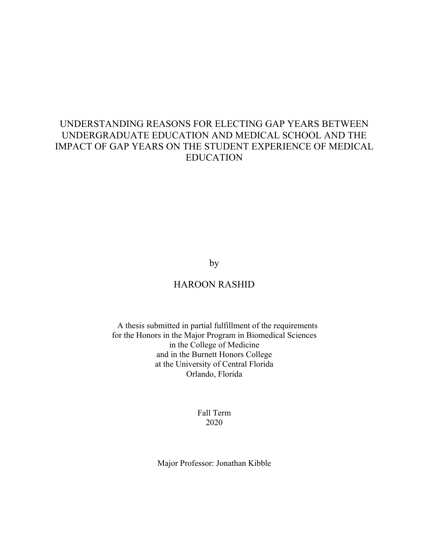# UNDERSTANDING REASONS FOR ELECTING GAP YEARS BETWEEN UNDERGRADUATE EDUCATION AND MEDICAL SCHOOL AND THE IMPACT OF GAP YEARS ON THE STUDENT EXPERIENCE OF MEDICAL EDUCATION

#### by

## HAROON RASHID

#### A thesis submitted in partial fulfillment of the requirements for the Honors in the Major Program in Biomedical Sciences in the College of Medicine and in the Burnett Honors College at the University of Central Florida Orlando, Florida

#### Fall Term 2020

Major Professor: Jonathan Kibble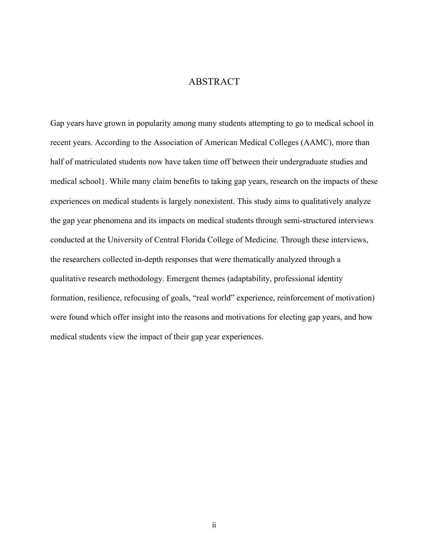#### ABSTRACT

Gap years have grown in popularity among many students attempting to go to medical school in recent years. According to the Association of American Medical Colleges (AAMC), more than half of matriculated students now have taken time off between their undergraduate studies and medical school1. While many claim benefits to taking gap years, research on the impacts of these experiences on medical students is largely nonexistent. This study aims to qualitatively analyze the gap year phenomena and its impacts on medical students through semi-structured interviews conducted at the University of Central Florida College of Medicine. Through these interviews, the researchers collected in-depth responses that were thematically analyzed through a qualitative research methodology. Emergent themes (adaptability, professional identity formation, resilience, refocusing of goals, "real world" experience, reinforcement of motivation) were found which offer insight into the reasons and motivations for electing gap years, and how medical students view the impact of their gap year experiences.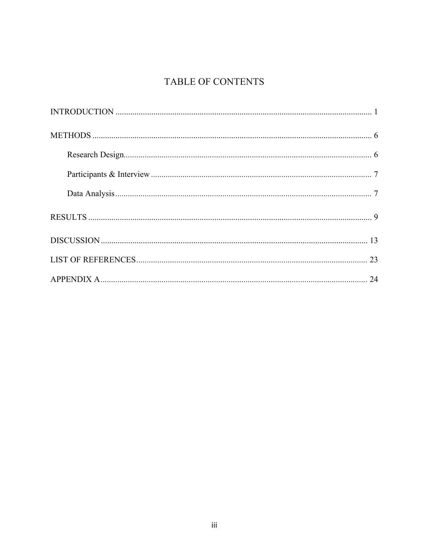# TABLE OF CONTENTS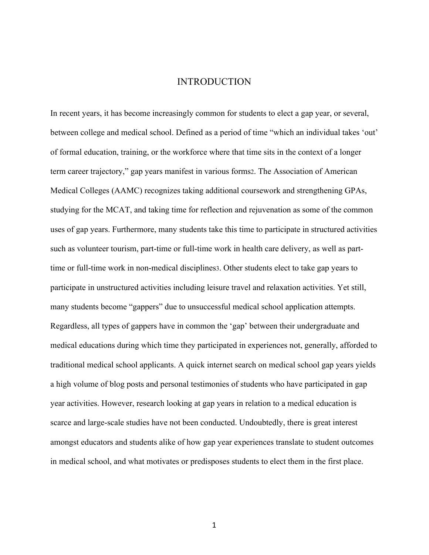#### INTRODUCTION

In recent years, it has become increasingly common for students to elect a gap year, or several, between college and medical school. Defined as a period of time "which an individual takes 'out' of formal education, training, or the workforce where that time sits in the context of a longer term career trajectory," gap years manifest in various forms2. The Association of American Medical Colleges (AAMC) recognizes taking additional coursework and strengthening GPAs, studying for the MCAT, and taking time for reflection and rejuvenation as some of the common uses of gap years. Furthermore, many students take this time to participate in structured activities such as volunteer tourism, part-time or full-time work in health care delivery, as well as parttime or full-time work in non-medical disciplines3. Other students elect to take gap years to participate in unstructured activities including leisure travel and relaxation activities. Yet still, many students become "gappers" due to unsuccessful medical school application attempts. Regardless, all types of gappers have in common the 'gap' between their undergraduate and medical educations during which time they participated in experiences not, generally, afforded to traditional medical school applicants. A quick internet search on medical school gap years yields a high volume of blog posts and personal testimonies of students who have participated in gap year activities. However, research looking at gap years in relation to a medical education is scarce and large-scale studies have not been conducted. Undoubtedly, there is great interest amongst educators and students alike of how gap year experiences translate to student outcomes in medical school, and what motivates or predisposes students to elect them in the first place.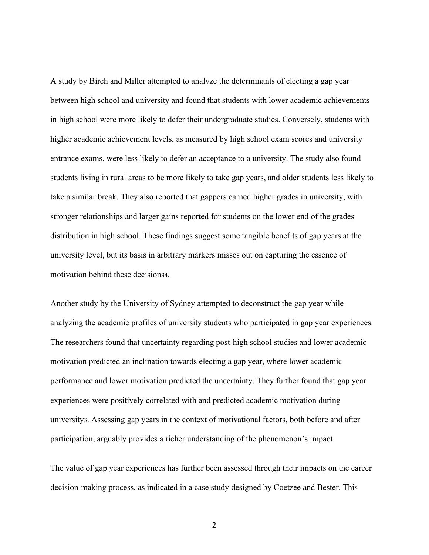A study by Birch and Miller attempted to analyze the determinants of electing a gap year between high school and university and found that students with lower academic achievements in high school were more likely to defer their undergraduate studies. Conversely, students with higher academic achievement levels, as measured by high school exam scores and university entrance exams, were less likely to defer an acceptance to a university. The study also found students living in rural areas to be more likely to take gap years, and older students less likely to take a similar break. They also reported that gappers earned higher grades in university, with stronger relationships and larger gains reported for students on the lower end of the grades distribution in high school. These findings suggest some tangible benefits of gap years at the university level, but its basis in arbitrary markers misses out on capturing the essence of motivation behind these decisions4.

Another study by the University of Sydney attempted to deconstruct the gap year while analyzing the academic profiles of university students who participated in gap year experiences. The researchers found that uncertainty regarding post-high school studies and lower academic motivation predicted an inclination towards electing a gap year, where lower academic performance and lower motivation predicted the uncertainty. They further found that gap year experiences were positively correlated with and predicted academic motivation during university3. Assessing gap years in the context of motivational factors, both before and after participation, arguably provides a richer understanding of the phenomenon's impact.

The value of gap year experiences has further been assessed through their impacts on the career decision-making process, as indicated in a case study designed by Coetzee and Bester. This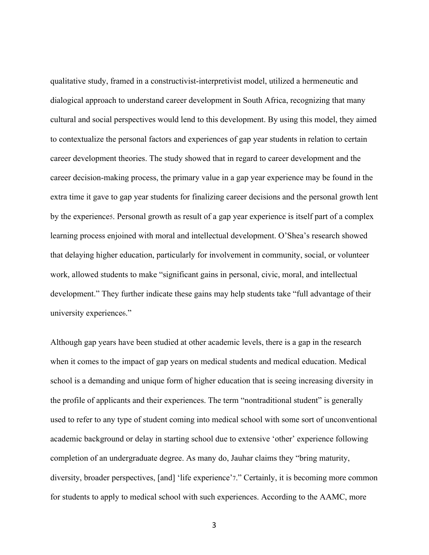qualitative study, framed in a constructivist-interpretivist model, utilized a hermeneutic and dialogical approach to understand career development in South Africa, recognizing that many cultural and social perspectives would lend to this development. By using this model, they aimed to contextualize the personal factors and experiences of gap year students in relation to certain career development theories. The study showed that in regard to career development and the career decision-making process, the primary value in a gap year experience may be found in the extra time it gave to gap year students for finalizing career decisions and the personal growth lent by the experience5. Personal growth as result of a gap year experience is itself part of a complex learning process enjoined with moral and intellectual development. O'Shea's research showed that delaying higher education, particularly for involvement in community, social, or volunteer work, allowed students to make "significant gains in personal, civic, moral, and intellectual development." They further indicate these gains may help students take "full advantage of their university experience6."

Although gap years have been studied at other academic levels, there is a gap in the research when it comes to the impact of gap years on medical students and medical education. Medical school is a demanding and unique form of higher education that is seeing increasing diversity in the profile of applicants and their experiences. The term "nontraditional student" is generally used to refer to any type of student coming into medical school with some sort of unconventional academic background or delay in starting school due to extensive 'other' experience following completion of an undergraduate degree. As many do, Jauhar claims they "bring maturity, diversity, broader perspectives, [and] 'life experience'7." Certainly, it is becoming more common for students to apply to medical school with such experiences. According to the AAMC, more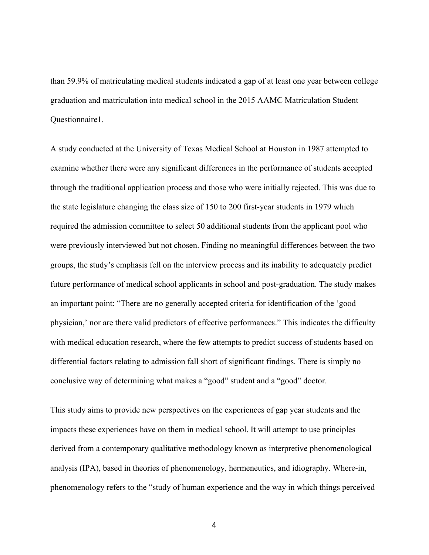than 59.9% of matriculating medical students indicated a gap of at least one year between college graduation and matriculation into medical school in the 2015 AAMC Matriculation Student Questionnaire1.

A study conducted at the University of Texas Medical School at Houston in 1987 attempted to examine whether there were any significant differences in the performance of students accepted through the traditional application process and those who were initially rejected. This was due to the state legislature changing the class size of 150 to 200 first-year students in 1979 which required the admission committee to select 50 additional students from the applicant pool who were previously interviewed but not chosen. Finding no meaningful differences between the two groups, the study's emphasis fell on the interview process and its inability to adequately predict future performance of medical school applicants in school and post-graduation. The study makes an important point: "There are no generally accepted criteria for identification of the 'good physician,' nor are there valid predictors of effective performance8." This indicates the difficulty with medical education research, where the few attempts to predict success of students based on differential factors relating to admission fall short of significant findings. There is simply no conclusive way of determining what makes a "good" student and a "good" doctor.

This study aims to provide new perspectives on the experiences of gap year students and the impacts these experiences have on them in medical school. It will attempt to use principles derived from a contemporary qualitative methodology known as interpretive phenomenological analysis (IPA), based in theories of phenomenology, hermeneutics, and idiography. Where-in, phenomenology refers to the "study of human experience and the way in which things perceived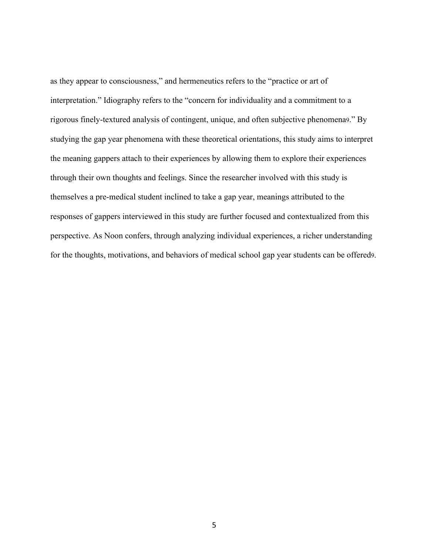as they appear to consciousness," and hermeneutics refers to the "practice or art of interpretation." Idiography refers to the "concern for individuality and a commitment to a rigorous finely-textured analysis of contingent, unique, and often subjective phenomena9." By studying the gap year phenomena with these theoretical orientations, this study aims to interpret the meaning gappers attach to their experiences by allowing them to explore their experiences through their own thoughts and feelings. Since the researcher involved with this study is themselves a pre-medical student inclined to take a gap year, meanings attributed to the responses of gappers interviewed in this study are further focused and contextualized from this perspective. As Noon confers, through analyzing individual experiences, a richer understanding for the thoughts, motivations, and behaviors of medical school gap year students can be offered9.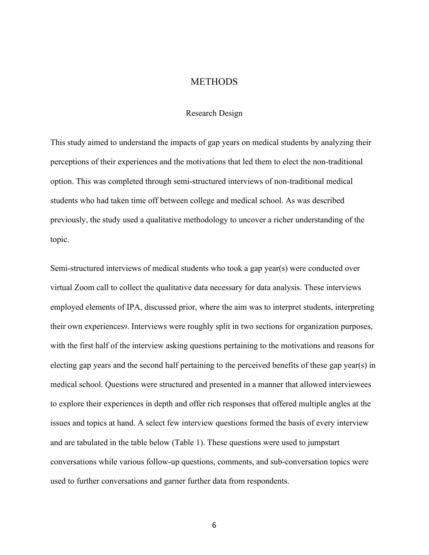#### **METHODS**

#### Research Design

This study aimed to understand the impacts of gap years on medical students by analyzing their perceptions of their experiences and the motivations that led them to elect the non-traditional option. This was completed through semi-structured interviews of non-traditional medical students who had taken time off between college and medical school. As was described previously, the study used a qualitative methodology to uncover a richer understanding of the topic.

Semi-structured interviews of medical students who took a gap year(s) were conducted over virtual Zoom call to collect the qualitative data necessary for data analysis. These interviews employed elements of IPA, discussed prior, where the aim was to interpret students, interpreting their own experiences9. Interviews were roughly split in two sections for organization purposes, with the first half of the interview asking questions pertaining to the motivations and reasons for electing gap years and the second half pertaining to the perceived benefits of these gap year(s) in medical school. Questions were structured and presented in a manner that allowed interviewees to explore their experiences in depth and offer rich responses that offered multiple angles at the issues and topics at hand. A select few interview questions formed the basis of every interview and are tabulated in the table below (Table 1). These questions were used to jumpstart conversations while various follow-up questions, comments, and sub-conversation topics were used to further conversations and garner further data from respondents.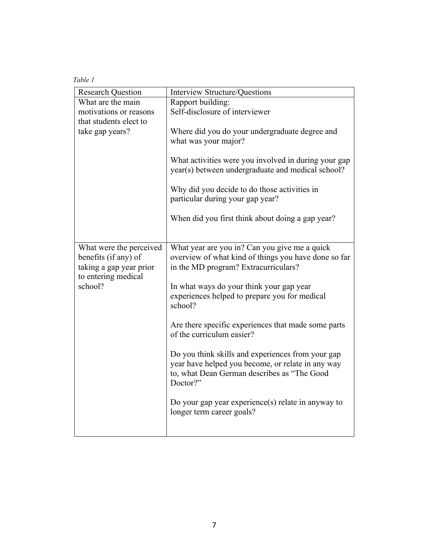| Table 1 |
|---------|
|---------|

| <b>Research Question</b>                                                                          | Interview Structure/Questions                                                                                                                                     |
|---------------------------------------------------------------------------------------------------|-------------------------------------------------------------------------------------------------------------------------------------------------------------------|
| What are the main                                                                                 | Rapport building:                                                                                                                                                 |
| motivations or reasons                                                                            | Self-disclosure of interviewer                                                                                                                                    |
| that students elect to<br>take gap years?                                                         | Where did you do your undergraduate degree and<br>what was your major?                                                                                            |
|                                                                                                   | What activities were you involved in during your gap<br>year(s) between undergraduate and medical school?                                                         |
|                                                                                                   | Why did you decide to do those activities in<br>particular during your gap year?                                                                                  |
|                                                                                                   | When did you first think about doing a gap year?                                                                                                                  |
| What were the perceived<br>benefits (if any) of<br>taking a gap year prior<br>to entering medical | What year are you in? Can you give me a quick<br>overview of what kind of things you have done so far<br>in the MD program? Extracurriculars?                     |
| school?                                                                                           | In what ways do your think your gap year<br>experiences helped to prepare you for medical<br>school?                                                              |
|                                                                                                   | Are there specific experiences that made some parts<br>of the curriculum easier?                                                                                  |
|                                                                                                   | Do you think skills and experiences from your gap<br>year have helped you become, or relate in any way<br>to, what Dean German describes as "The Good<br>Doctor?" |
|                                                                                                   | Do your gap year experience(s) relate in anyway to<br>longer term career goals?                                                                                   |
|                                                                                                   |                                                                                                                                                                   |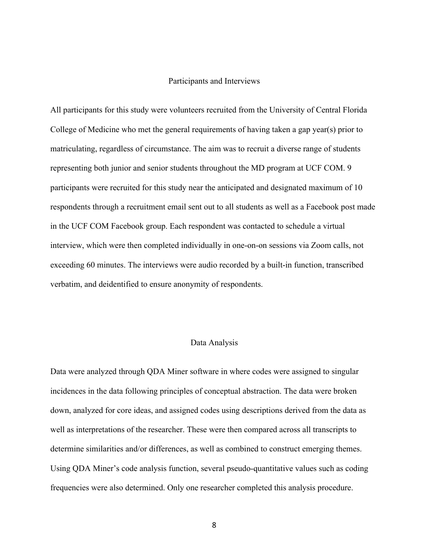#### Participants and Interviews

All participants for this study were volunteers recruited from the University of Central Florida College of Medicine who met the general requirements of having taken a gap year(s) prior to matriculating, regardless of circumstance. The aim was to recruit a diverse range of students representing both junior and senior students throughout the MD program at UCF COM. 9 participants were recruited for this study near the anticipated and designated maximum of 10 respondents through a recruitment email sent out to all students as well as a Facebook post made in the UCF COM Facebook group. Each respondent was contacted to schedule a virtual interview, which were then completed individually in one-on-on sessions via Zoom calls, not exceeding 60 minutes. The interviews were audio recorded by a built-in function, transcribed verbatim, and deidentified to ensure anonymity of respondents.

#### Data Analysis

Data were analyzed through QDA Miner software in where codes were assigned to singular incidences in the data following principles of conceptual abstraction. The data were broken down, analyzed for core ideas, and assigned codes using descriptions derived from the data as well as interpretations of the researcher. These were then compared across all transcripts to determine similarities and/or differences, as well as combined to construct emerging themes. Using QDA Miner's code analysis function, several pseudo-quantitative values such as coding frequencies were also determined. Only one researcher completed this analysis procedure.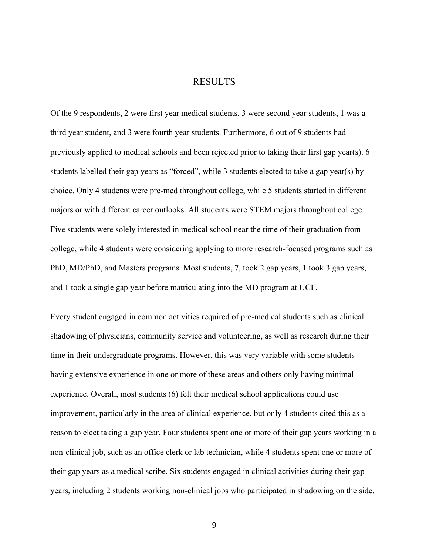#### RESULTS

Of the 9 respondents, 2 were first year medical students, 3 were second year students, 1 was a third year student, and 3 were fourth year students. Furthermore, 6 out of 9 students had previously applied to medical schools and been rejected prior to taking their first gap year(s). 6 students labelled their gap years as "forced", while 3 students elected to take a gap year(s) by choice. Only 4 students were pre-med throughout college, while 5 students started in different majors or with different career outlooks. All students were STEM majors throughout college. Five students were solely interested in medical school near the time of their graduation from college, while 4 students were considering applying to more research-focused programs such as PhD, MD/PhD, and Masters programs. Most students, 7, took 2 gap years, 1 took 3 gap years, and 1 took a single gap year before matriculating into the MD program at UCF.

Every student engaged in common activities required of pre-medical students such as clinical shadowing of physicians, community service and volunteering, as well as research during their time in their undergraduate programs. However, this was very variable with some students having extensive experience in one or more of these areas and others only having minimal experience. Overall, most students (6) felt their medical school applications could use improvement, particularly in the area of clinical experience, but only 4 students cited this as a reason to elect taking a gap year. Four students spent one or more of their gap years working in a non-clinical job, such as an office clerk or lab technician, while 4 students spent one or more of their gap years as a medical scribe. Six students engaged in clinical activities during their gap years, including 2 students working non-clinical jobs who participated in shadowing on the side.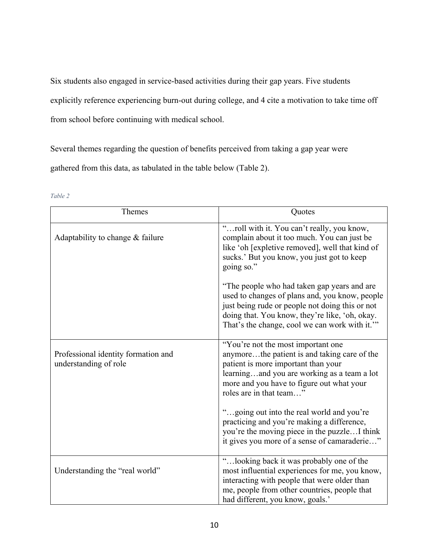Six students also engaged in service-based activities during their gap years. Five students explicitly reference experiencing burn-out during college, and 4 cite a motivation to take time off from school before continuing with medical school.

Several themes regarding the question of benefits perceived from taking a gap year were gathered from this data, as tabulated in the table below (Table 2).

| Themes                                                       | Quotes                                                                                                                                                                                                                                               |
|--------------------------------------------------------------|------------------------------------------------------------------------------------------------------------------------------------------------------------------------------------------------------------------------------------------------------|
| Adaptability to change $&$ failure                           | "roll with it. You can't really, you know,<br>complain about it too much. You can just be<br>like 'oh [expletive removed], well that kind of<br>sucks.' But you know, you just got to keep<br>going so."                                             |
|                                                              | "The people who had taken gap years and are<br>used to changes of plans and, you know, people<br>just being rude or people not doing this or not<br>doing that. You know, they're like, 'oh, okay.<br>That's the change, cool we can work with it."" |
| Professional identity formation and<br>understanding of role | "You're not the most important one<br>anymorethe patient is and taking care of the<br>patient is more important than your<br>learningand you are working as a team a lot<br>more and you have to figure out what your<br>roles are in that team"     |
|                                                              | "going out into the real world and you're<br>practicing and you're making a difference,<br>you're the moving piece in the puzzleI think<br>it gives you more of a sense of camaraderie"                                                              |
| Understanding the "real world"                               | "looking back it was probably one of the<br>most influential experiences for me, you know,<br>interacting with people that were older than<br>me, people from other countries, people that<br>had different, you know, goals.'                       |

#### *Table 2*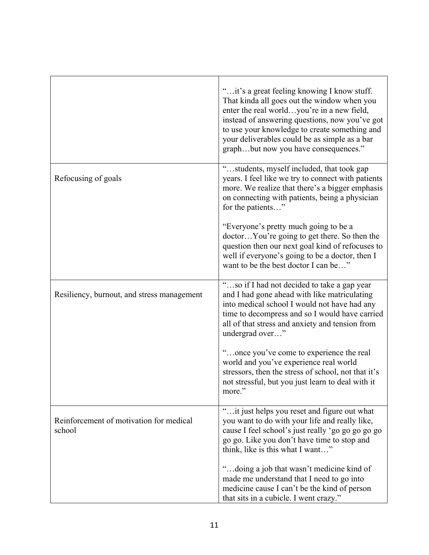|                                                   | " it's a great feeling knowing I know stuff.<br>That kinda all goes out the window when you<br>enter the real worldyou're in a new field,<br>instead of answering questions, now you've got<br>to use your knowledge to create something and<br>your deliverables could be as simple as a bar<br>graphbut now you have consequences." |
|---------------------------------------------------|---------------------------------------------------------------------------------------------------------------------------------------------------------------------------------------------------------------------------------------------------------------------------------------------------------------------------------------|
| Refocusing of goals                               | "students, myself included, that took gap<br>years. I feel like we try to connect with patients<br>more. We realize that there's a bigger emphasis<br>on connecting with patients, being a physician<br>for the patients"                                                                                                             |
|                                                   | "Everyone's pretty much going to be a<br>doctorYou're going to get there. So then the<br>question then our next goal kind of refocuses to<br>well if everyone's going to be a doctor, then I<br>want to be the best doctor I can be"                                                                                                  |
| Resiliency, burnout, and stress management        | "so if I had not decided to take a gap year<br>and I had gone ahead with like matriculating<br>into medical school I would not have had any<br>time to decompress and so I would have carried<br>all of that stress and anxiety and tension from<br>undergrad over"                                                                   |
|                                                   | "once you've come to experience the real<br>world and you've experience real world<br>stressors, then the stress of school, not that it's<br>not stressful, but you just learn to deal with it<br>more."                                                                                                                              |
| Reinforcement of motivation for medical<br>school | "it just helps you reset and figure out what<br>you want to do with your life and really like,<br>cause I feel school's just really 'go go go go go<br>go go. Like you don't have time to stop and<br>think, like is this what I want"<br>"doing a job that wasn't medicine kind of                                                   |
|                                                   | made me understand that I need to go into<br>medicine cause I can't be the kind of person<br>that sits in a cubicle. I went crazy."                                                                                                                                                                                                   |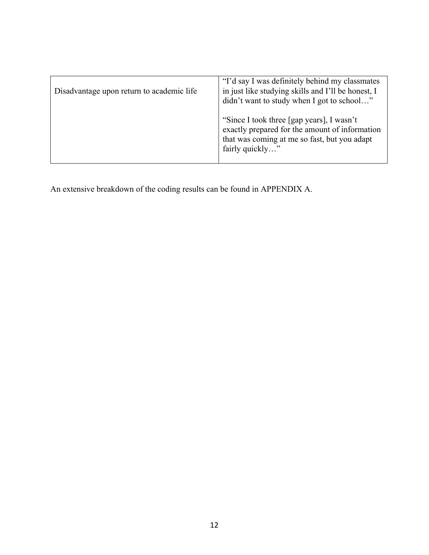| Disadvantage upon return to academic life | "I'd say I was definitely behind my classmates"<br>in just like studying skills and I'll be honest, I<br>didn't want to study when I got to school"            |
|-------------------------------------------|----------------------------------------------------------------------------------------------------------------------------------------------------------------|
|                                           | "Since I took three [gap years], I wasn't<br>exactly prepared for the amount of information<br>that was coming at me so fast, but you adapt<br>fairly quickly" |

An extensive breakdown of the coding results can be found in APPENDIX A.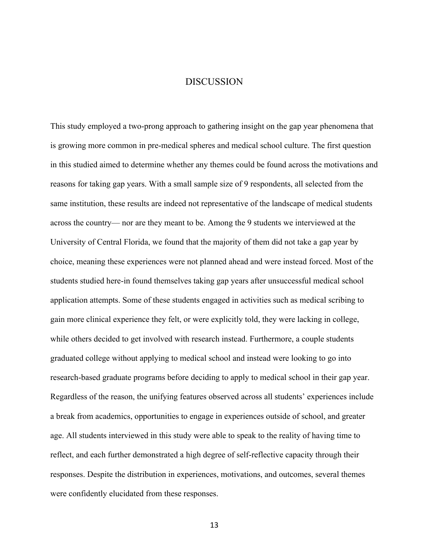#### DISCUSSION

This study employed a two-prong approach to gathering insight on the gap year phenomena that is growing more common in pre-medical spheres and medical school culture. The first question in this studied aimed to determine whether any themes could be found across the motivations and reasons for taking gap years. With a small sample size of 9 respondents, all selected from the same institution, these results are indeed not representative of the landscape of medical students across the country— nor are they meant to be. Among the 9 students we interviewed at the University of Central Florida, we found that the majority of them did not take a gap year by choice, meaning these experiences were not planned ahead and were instead forced. Most of the students studied here-in found themselves taking gap years after unsuccessful medical school application attempts. Some of these students engaged in activities such as medical scribing to gain more clinical experience they felt, or were explicitly told, they were lacking in college, while others decided to get involved with research instead. Furthermore, a couple students graduated college without applying to medical school and instead were looking to go into research-based graduate programs before deciding to apply to medical school in their gap year. Regardless of the reason, the unifying features observed across all students' experiences include a break from academics, opportunities to engage in experiences outside of school, and greater age. All students interviewed in this study were able to speak to the reality of having time to reflect, and each further demonstrated a high degree of self-reflective capacity through their responses. Despite the distribution in experiences, motivations, and outcomes, several themes were confidently elucidated from these responses.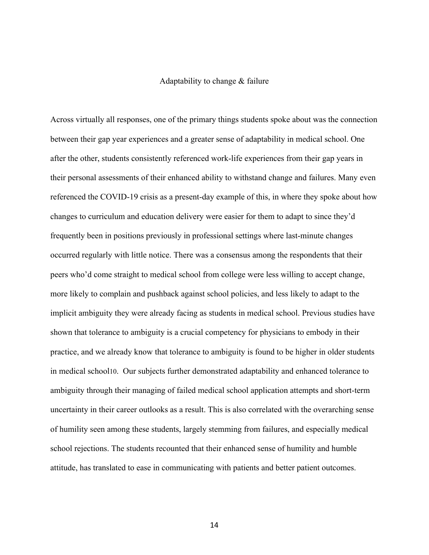#### Adaptability to change & failure

Across virtually all responses, one of the primary things students spoke about was the connection between their gap year experiences and a greater sense of adaptability in medical school. One after the other, students consistently referenced work-life experiences from their gap years in their personal assessments of their enhanced ability to withstand change and failures. Many even referenced the COVID-19 crisis as a present-day example of this, in where they spoke about how changes to curriculum and education delivery were easier for them to adapt to since they'd frequently been in positions previously in professional settings where last-minute changes occurred regularly with little notice. There was a consensus among the respondents that their peers who'd come straight to medical school from college were less willing to accept change, more likely to complain and pushback against school policies, and less likely to adapt to the implicit ambiguity they were already facing as students in medical school. Previous studies have shown that tolerance to ambiguity is a crucial competency for physicians to embody in their practice, and we already know that tolerance to ambiguity is found to be higher in older students in medical school10. Our subjects further demonstrated adaptability and enhanced tolerance to ambiguity through their managing of failed medical school application attempts and short-term uncertainty in their career outlooks as a result. This is also correlated with the overarching sense of humility seen among these students, largely stemming from failures, and especially medical school rejections. The students recounted that their enhanced sense of humility and humble attitude, has translated to ease in communicating with patients and better patient outcomes.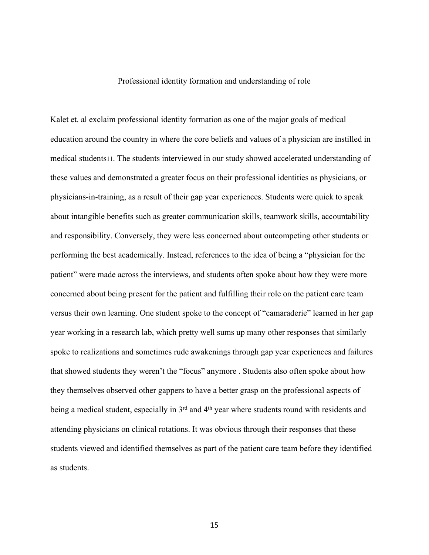#### Professional identity formation and understanding of role

Kalet et. al exclaim professional identity formation as one of the major goals of medical education around the country in where the core beliefs and values of a physician are instilled in medical students11. The students interviewed in our study showed accelerated understanding of these values and demonstrated a greater focus on their professional identities as physicians, or physicians-in-training, as a result of their gap year experiences. Students were quick to speak about intangible benefits such as greater communication skills, teamwork skills, accountability and responsibility. Conversely, they were less concerned about outcompeting other students or performing the best academically. Instead, references to the idea of being a "physician for the patient" were made across the interviews, and students often spoke about how they were more concerned about being present for the patient and fulfilling their role on the patient care team versus their own learning. One student spoke to the concept of "camaraderie" learned in her gap year working in a research lab, which pretty well sums up many other responses that similarly spoke to realizations and sometimes rude awakenings through gap year experiences and failures that showed students they weren't the "focus" anymore . Students also often spoke about how they themselves observed other gappers to have a better grasp on the professional aspects of being a medical student, especially in 3<sup>rd</sup> and 4<sup>th</sup> year where students round with residents and attending physicians on clinical rotations. It was obvious through their responses that these students viewed and identified themselves as part of the patient care team before they identified as students.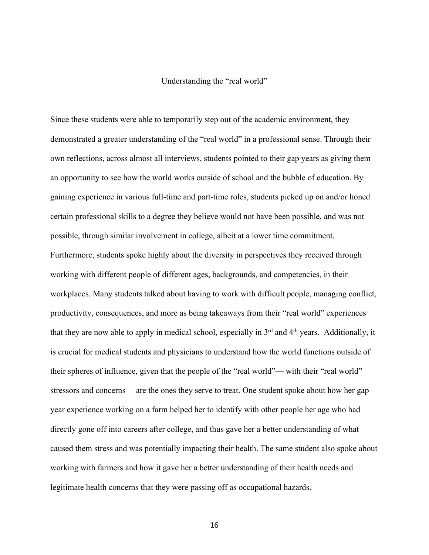#### Understanding the "real world"

Since these students were able to temporarily step out of the academic environment, they demonstrated a greater understanding of the "real world" in a professional sense. Through their own reflections, across almost all interviews, students pointed to their gap years as giving them an opportunity to see how the world works outside of school and the bubble of education. By gaining experience in various full-time and part-time roles, students picked up on and/or honed certain professional skills to a degree they believe would not have been possible, and was not possible, through similar involvement in college, albeit at a lower time commitment. Furthermore, students spoke highly about the diversity in perspectives they received through working with different people of different ages, backgrounds, and competencies, in their workplaces. Many students talked about having to work with difficult people, managing conflict, productivity, consequences, and more as being takeaways from their "real world" experiences that they are now able to apply in medical school, especially in 3rd and 4th years. Additionally, it is crucial for medical students and physicians to understand how the world functions outside of their spheres of influence, given that the people of the "real world"— with their "real world" stressors and concerns— are the ones they serve to treat. One student spoke about how her gap year experience working on a farm helped her to identify with other people her age who had directly gone off into careers after college, and thus gave her a better understanding of what caused them stress and was potentially impacting their health. The same student also spoke about working with farmers and how it gave her a better understanding of their health needs and legitimate health concerns that they were passing off as occupational hazards.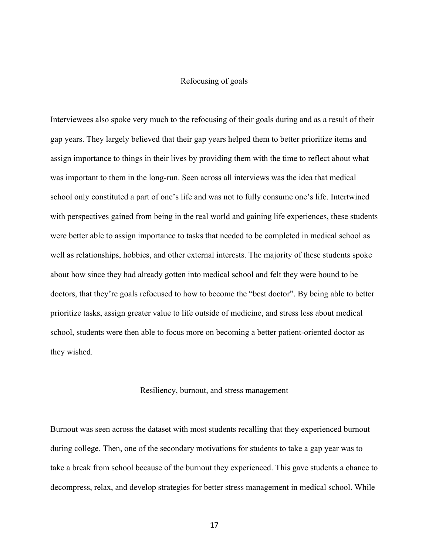#### Refocusing of goals

Interviewees also spoke very much to the refocusing of their goals during and as a result of their gap years. They largely believed that their gap years helped them to better prioritize items and assign importance to things in their lives by providing them with the time to reflect about what was important to them in the long-run. Seen across all interviews was the idea that medical school only constituted a part of one's life and was not to fully consume one's life. Intertwined with perspectives gained from being in the real world and gaining life experiences, these students were better able to assign importance to tasks that needed to be completed in medical school as well as relationships, hobbies, and other external interests. The majority of these students spoke about how since they had already gotten into medical school and felt they were bound to be doctors, that they're goals refocused to how to become the "best doctor". By being able to better prioritize tasks, assign greater value to life outside of medicine, and stress less about medical school, students were then able to focus more on becoming a better patient-oriented doctor as they wished.

#### Resiliency, burnout, and stress management

Burnout was seen across the dataset with most students recalling that they experienced burnout during college. Then, one of the secondary motivations for students to take a gap year was to take a break from school because of the burnout they experienced. This gave students a chance to decompress, relax, and develop strategies for better stress management in medical school. While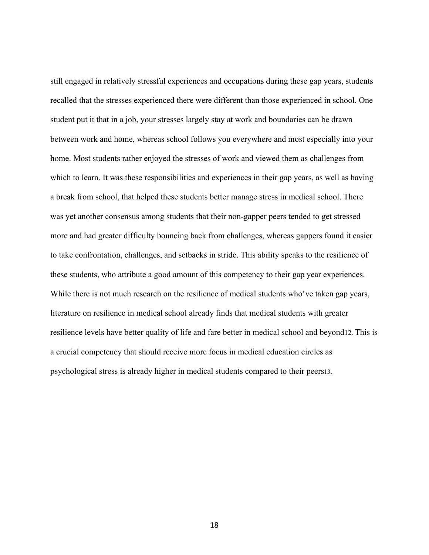still engaged in relatively stressful experiences and occupations during these gap years, students recalled that the stresses experienced there were different than those experienced in school. One student put it that in a job, your stresses largely stay at work and boundaries can be drawn between work and home, whereas school follows you everywhere and most especially into your home. Most students rather enjoyed the stresses of work and viewed them as challenges from which to learn. It was these responsibilities and experiences in their gap years, as well as having a break from school, that helped these students better manage stress in medical school. There was yet another consensus among students that their non-gapper peers tended to get stressed more and had greater difficulty bouncing back from challenges, whereas gappers found it easier to take confrontation, challenges, and setbacks in stride. This ability speaks to the resilience of these students, who attribute a good amount of this competency to their gap year experiences. While there is not much research on the resilience of medical students who've taken gap years, literature on resilience in medical school already finds that medical students with greater resilience levels have better quality of life and fare better in medical school and beyond12. This is a crucial competency that should receive more focus in medical education circles as psychological stress is already higher in medical students compared to their peers13.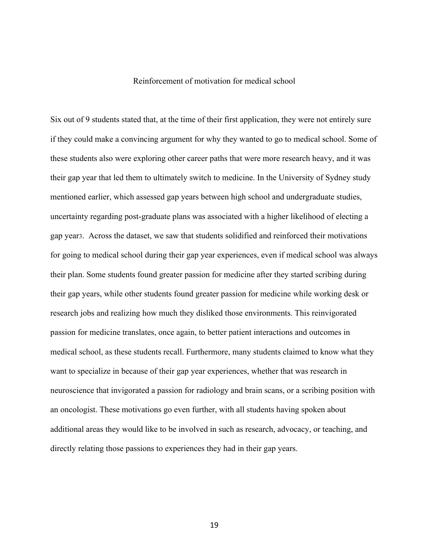#### Reinforcement of motivation for medical school

Six out of 9 students stated that, at the time of their first application, they were not entirely sure if they could make a convincing argument for why they wanted to go to medical school. Some of these students also were exploring other career paths that were more research heavy, and it was their gap year that led them to ultimately switch to medicine. In the University of Sydney study mentioned earlier, which assessed gap years between high school and undergraduate studies, uncertainty regarding post-graduate plans was associated with a higher likelihood of electing a gap year3. Across the dataset, we saw that students solidified and reinforced their motivations for going to medical school during their gap year experiences, even if medical school was always their plan. Some students found greater passion for medicine after they started scribing during their gap years, while other students found greater passion for medicine while working desk or research jobs and realizing how much they disliked those environments. This reinvigorated passion for medicine translates, once again, to better patient interactions and outcomes in medical school, as these students recall. Furthermore, many students claimed to know what they want to specialize in because of their gap year experiences, whether that was research in neuroscience that invigorated a passion for radiology and brain scans, or a scribing position with an oncologist. These motivations go even further, with all students having spoken about additional areas they would like to be involved in such as research, advocacy, or teaching, and directly relating those passions to experiences they had in their gap years.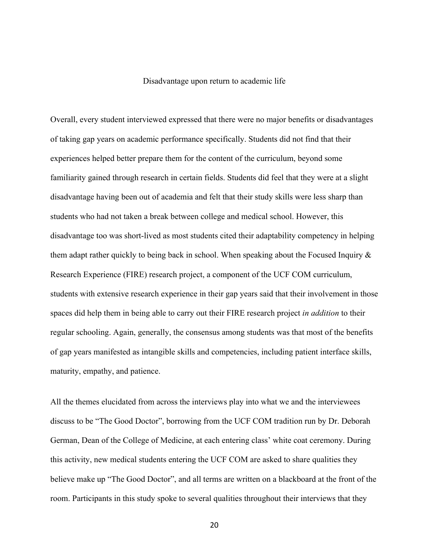#### Disadvantage upon return to academic life

Overall, every student interviewed expressed that there were no major benefits or disadvantages of taking gap years on academic performance specifically. Students did not find that their experiences helped better prepare them for the content of the curriculum, beyond some familiarity gained through research in certain fields. Students did feel that they were at a slight disadvantage having been out of academia and felt that their study skills were less sharp than students who had not taken a break between college and medical school. However, this disadvantage too was short-lived as most students cited their adaptability competency in helping them adapt rather quickly to being back in school. When speaking about the Focused Inquiry & Research Experience (FIRE) research project, a component of the UCF COM curriculum, students with extensive research experience in their gap years said that their involvement in those spaces did help them in being able to carry out their FIRE research project *in addition* to their regular schooling. Again, generally, the consensus among students was that most of the benefits of gap years manifested as intangible skills and competencies, including patient interface skills, maturity, empathy, and patience.

All the themes elucidated from across the interviews play into what we and the interviewees discuss to be "The Good Doctor", borrowing from the UCF COM tradition run by Dr. Deborah German, Dean of the College of Medicine, at each entering class' white coat ceremony. During this activity, new medical students entering the UCF COM are asked to share qualities they believe make up "The Good Doctor", and all terms are written on a blackboard at the front of the room. Participants in this study spoke to several qualities throughout their interviews that they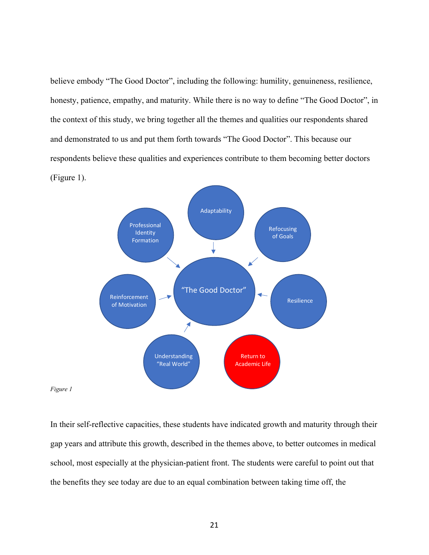believe embody "The Good Doctor", including the following: humility, genuineness, resilience, honesty, patience, empathy, and maturity. While there is no way to define "The Good Doctor", in the context of this study, we bring together all the themes and qualities our respondents shared and demonstrated to us and put them forth towards "The Good Doctor". This because our respondents believe these qualities and experiences contribute to them becoming better doctors (Figure 1).



*Figure 1*

In their self-reflective capacities, these students have indicated growth and maturity through their gap years and attribute this growth, described in the themes above, to better outcomes in medical school, most especially at the physician-patient front. The students were careful to point out that the benefits they see today are due to an equal combination between taking time off, the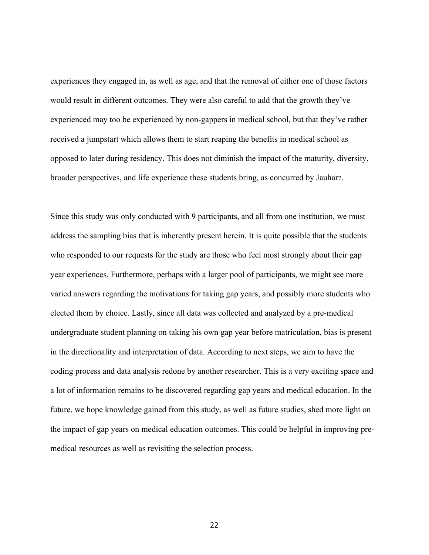experiences they engaged in, as well as age, and that the removal of either one of those factors would result in different outcomes. They were also careful to add that the growth they've experienced may too be experienced by non-gappers in medical school, but that they've rather received a jumpstart which allows them to start reaping the benefits in medical school as opposed to later during residency. This does not diminish the impact of the maturity, diversity, broader perspectives, and life experience these students bring, as concurred by Jauhar7.

Since this study was only conducted with 9 participants, and all from one institution, we must address the sampling bias that is inherently present herein. It is quite possible that the students who responded to our requests for the study are those who feel most strongly about their gap year experiences. Furthermore, perhaps with a larger pool of participants, we might see more varied answers regarding the motivations for taking gap years, and possibly more students who elected them by choice. Lastly, since all data was collected and analyzed by a pre-medical undergraduate student planning on taking his own gap year before matriculation, bias is present in the directionality and interpretation of data. According to next steps, we aim to have the coding process and data analysis redone by another researcher. This is a very exciting space and a lot of information remains to be discovered regarding gap years and medical education. In the future, we hope knowledge gained from this study, as well as future studies, shed more light on the impact of gap years on medical education outcomes. This could be helpful in improving premedical resources as well as revisiting the selection process.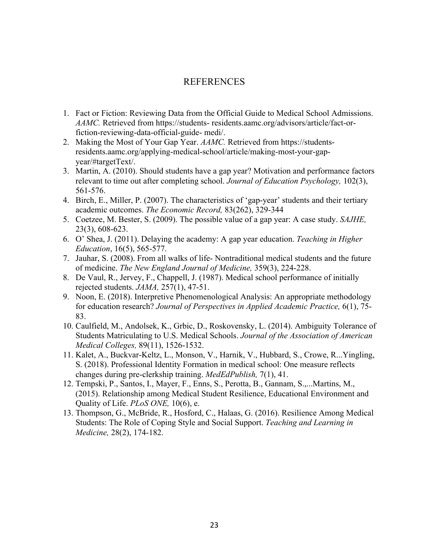### REFERENCES

- 1. Fact or Fiction: Reviewing Data from the Official Guide to Medical School Admissions. *AAMC.* Retrieved from https://students- residents.aamc.org/advisors/article/fact-orfiction-reviewing-data-official-guide- medi/.
- 2. Making the Most of Your Gap Year. *AAMC.* Retrieved from https://studentsresidents.aamc.org/applying-medical-school/article/making-most-your-gapyear/#targetText/.
- 3. Martin, A. (2010). Should students have a gap year? Motivation and performance factors relevant to time out after completing school. *Journal of Education Psychology,* 102(3), 561-576.
- 4. Birch, E., Miller, P. (2007). The characteristics of 'gap-year' students and their tertiary academic outcomes. *The Economic Record,* 83(262), 329-344
- 5. Coetzee, M. Bester, S. (2009). The possible value of a gap year: A case study. *SAJHE,*  23(3), 608-623.
- 6. O' Shea, J. (2011). Delaying the academy: A gap year education. *Teaching in Higher Education*, 16(5), 565-577.
- 7. Jauhar, S. (2008). From all walks of life- Nontraditional medical students and the future of medicine. *The New England Journal of Medicine,* 359(3), 224-228.
- 8. De Vaul, R., Jervey, F., Chappell, J. (1987). Medical school performance of initially rejected students. *JAMA,* 257(1), 47-51.
- 9. Noon, E. (2018). Interpretive Phenomenological Analysis: An appropriate methodology for education research? *Journal of Perspectives in Applied Academic Practice,* 6(1), 75- 83.
- 10. Caulfield, M., Andolsek, K., Grbic, D., Roskovensky, L. (2014). Ambiguity Tolerance of Students Matriculating to U.S. Medical Schools. *Journal of the Association of American Medical Colleges,* 89(11), 1526-1532.
- 11. Kalet, A., Buckvar-Keltz, L., Monson, V., Harnik, V., Hubbard, S., Crowe, R...Yingling, S. (2018). Professional Identity Formation in medical school: One measure reflects changes during pre-clerkship training. *MedEdPublish,* 7(1), 41.
- 12. Tempski, P., Santos, I., Mayer, F., Enns, S., Perotta, B., Gannam, S.,...Martins, M., (2015). Relationship among Medical Student Resilience, Educational Environment and Quality of Life. *PLoS ONE,* 10(6), e.
- 13. Thompson, G., McBride, R., Hosford, C., Halaas, G. (2016). Resilience Among Medical Students: The Role of Coping Style and Social Support. *Teaching and Learning in Medicine,* 28(2), 174-182.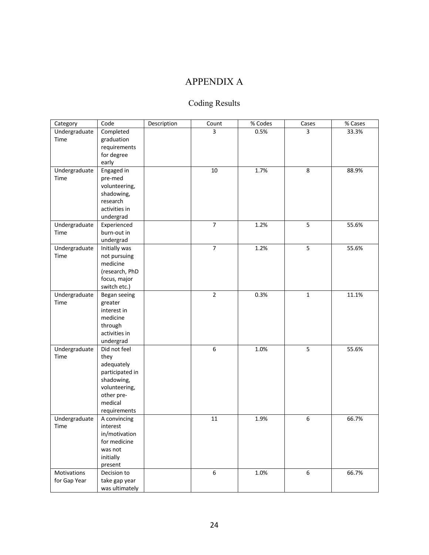# APPENDIX A

# Coding Results

| Undergraduate<br>Completed<br>3<br>0.5%<br>33.3%<br>3<br>Time<br>graduation<br>requirements<br>for degree<br>early<br>Undergraduate<br>Engaged in<br>$10\,$<br>1.7%<br>$\,8\,$<br>88.9%<br>Time<br>pre-med<br>volunteering,<br>shadowing,<br>research<br>activities in<br>undergrad<br>$\overline{7}$<br>5<br>1.2%<br>55.6%<br>Undergraduate<br>Experienced<br>burn-out in<br>Time<br>undergrad<br>$\overline{7}$<br>1.2%<br>5<br>Undergraduate<br>55.6%<br>Initially was<br>Time<br>not pursuing<br>medicine<br>(research, PhD<br>focus, major<br>switch etc.)<br>$\overline{2}$<br>0.3%<br>Undergraduate<br>$\mathbf 1$<br>11.1%<br>Began seeing<br>Time<br>greater<br>interest in<br>medicine<br>through<br>activities in<br>undergrad |
|-------------------------------------------------------------------------------------------------------------------------------------------------------------------------------------------------------------------------------------------------------------------------------------------------------------------------------------------------------------------------------------------------------------------------------------------------------------------------------------------------------------------------------------------------------------------------------------------------------------------------------------------------------------------------------------------------------------------------------------------|
|                                                                                                                                                                                                                                                                                                                                                                                                                                                                                                                                                                                                                                                                                                                                           |
|                                                                                                                                                                                                                                                                                                                                                                                                                                                                                                                                                                                                                                                                                                                                           |
|                                                                                                                                                                                                                                                                                                                                                                                                                                                                                                                                                                                                                                                                                                                                           |
|                                                                                                                                                                                                                                                                                                                                                                                                                                                                                                                                                                                                                                                                                                                                           |
|                                                                                                                                                                                                                                                                                                                                                                                                                                                                                                                                                                                                                                                                                                                                           |
|                                                                                                                                                                                                                                                                                                                                                                                                                                                                                                                                                                                                                                                                                                                                           |
|                                                                                                                                                                                                                                                                                                                                                                                                                                                                                                                                                                                                                                                                                                                                           |
|                                                                                                                                                                                                                                                                                                                                                                                                                                                                                                                                                                                                                                                                                                                                           |
|                                                                                                                                                                                                                                                                                                                                                                                                                                                                                                                                                                                                                                                                                                                                           |
|                                                                                                                                                                                                                                                                                                                                                                                                                                                                                                                                                                                                                                                                                                                                           |
|                                                                                                                                                                                                                                                                                                                                                                                                                                                                                                                                                                                                                                                                                                                                           |
|                                                                                                                                                                                                                                                                                                                                                                                                                                                                                                                                                                                                                                                                                                                                           |
|                                                                                                                                                                                                                                                                                                                                                                                                                                                                                                                                                                                                                                                                                                                                           |
|                                                                                                                                                                                                                                                                                                                                                                                                                                                                                                                                                                                                                                                                                                                                           |
|                                                                                                                                                                                                                                                                                                                                                                                                                                                                                                                                                                                                                                                                                                                                           |
|                                                                                                                                                                                                                                                                                                                                                                                                                                                                                                                                                                                                                                                                                                                                           |
|                                                                                                                                                                                                                                                                                                                                                                                                                                                                                                                                                                                                                                                                                                                                           |
|                                                                                                                                                                                                                                                                                                                                                                                                                                                                                                                                                                                                                                                                                                                                           |
|                                                                                                                                                                                                                                                                                                                                                                                                                                                                                                                                                                                                                                                                                                                                           |
|                                                                                                                                                                                                                                                                                                                                                                                                                                                                                                                                                                                                                                                                                                                                           |
|                                                                                                                                                                                                                                                                                                                                                                                                                                                                                                                                                                                                                                                                                                                                           |
|                                                                                                                                                                                                                                                                                                                                                                                                                                                                                                                                                                                                                                                                                                                                           |
|                                                                                                                                                                                                                                                                                                                                                                                                                                                                                                                                                                                                                                                                                                                                           |
|                                                                                                                                                                                                                                                                                                                                                                                                                                                                                                                                                                                                                                                                                                                                           |
|                                                                                                                                                                                                                                                                                                                                                                                                                                                                                                                                                                                                                                                                                                                                           |
|                                                                                                                                                                                                                                                                                                                                                                                                                                                                                                                                                                                                                                                                                                                                           |
|                                                                                                                                                                                                                                                                                                                                                                                                                                                                                                                                                                                                                                                                                                                                           |
|                                                                                                                                                                                                                                                                                                                                                                                                                                                                                                                                                                                                                                                                                                                                           |
| 6<br>5<br>Undergraduate<br>Did not feel<br>1.0%<br>55.6%                                                                                                                                                                                                                                                                                                                                                                                                                                                                                                                                                                                                                                                                                  |
| Time<br>they                                                                                                                                                                                                                                                                                                                                                                                                                                                                                                                                                                                                                                                                                                                              |
| adequately                                                                                                                                                                                                                                                                                                                                                                                                                                                                                                                                                                                                                                                                                                                                |
| participated in                                                                                                                                                                                                                                                                                                                                                                                                                                                                                                                                                                                                                                                                                                                           |
| shadowing,                                                                                                                                                                                                                                                                                                                                                                                                                                                                                                                                                                                                                                                                                                                                |
| volunteering,                                                                                                                                                                                                                                                                                                                                                                                                                                                                                                                                                                                                                                                                                                                             |
| other pre-                                                                                                                                                                                                                                                                                                                                                                                                                                                                                                                                                                                                                                                                                                                                |
| medical                                                                                                                                                                                                                                                                                                                                                                                                                                                                                                                                                                                                                                                                                                                                   |
| requirements                                                                                                                                                                                                                                                                                                                                                                                                                                                                                                                                                                                                                                                                                                                              |
| Undergraduate<br>$11\,$<br>1.9%<br>66.7%<br>6<br>A convincing                                                                                                                                                                                                                                                                                                                                                                                                                                                                                                                                                                                                                                                                             |
| Time<br>interest<br>in/motivation                                                                                                                                                                                                                                                                                                                                                                                                                                                                                                                                                                                                                                                                                                         |
| for medicine                                                                                                                                                                                                                                                                                                                                                                                                                                                                                                                                                                                                                                                                                                                              |
| was not                                                                                                                                                                                                                                                                                                                                                                                                                                                                                                                                                                                                                                                                                                                                   |
| initially                                                                                                                                                                                                                                                                                                                                                                                                                                                                                                                                                                                                                                                                                                                                 |
| present                                                                                                                                                                                                                                                                                                                                                                                                                                                                                                                                                                                                                                                                                                                                   |
| 6<br>66.7%<br>Motivations<br>1.0%<br>$\boldsymbol{6}$<br>Decision to                                                                                                                                                                                                                                                                                                                                                                                                                                                                                                                                                                                                                                                                      |
| for Gap Year<br>take gap year                                                                                                                                                                                                                                                                                                                                                                                                                                                                                                                                                                                                                                                                                                             |
| was ultimately                                                                                                                                                                                                                                                                                                                                                                                                                                                                                                                                                                                                                                                                                                                            |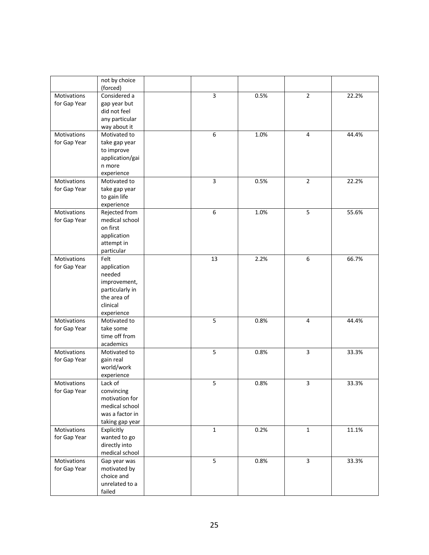|                    | not by choice<br>(forced)    |              |      |                |       |
|--------------------|------------------------------|--------------|------|----------------|-------|
| Motivations        | Considered a                 | 3            | 0.5% | $\overline{2}$ | 22.2% |
|                    |                              |              |      |                |       |
| for Gap Year       | gap year but<br>did not feel |              |      |                |       |
|                    | any particular               |              |      |                |       |
|                    | way about it                 |              |      |                |       |
| Motivations        | Motivated to                 | 6            | 1.0% | $\overline{4}$ | 44.4% |
| for Gap Year       | take gap year                |              |      |                |       |
|                    | to improve                   |              |      |                |       |
|                    | application/gai              |              |      |                |       |
|                    | n more                       |              |      |                |       |
|                    | experience                   |              |      |                |       |
| Motivations        | Motivated to                 | $\mathsf{3}$ | 0.5% | $\overline{2}$ | 22.2% |
| for Gap Year       | take gap year                |              |      |                |       |
|                    | to gain life                 |              |      |                |       |
|                    | experience                   |              |      |                |       |
| Motivations        | Rejected from                | 6            | 1.0% | 5              | 55.6% |
| for Gap Year       | medical school               |              |      |                |       |
|                    | on first                     |              |      |                |       |
|                    | application                  |              |      |                |       |
|                    | attempt in                   |              |      |                |       |
|                    | particular                   |              |      |                |       |
| <b>Motivations</b> | Felt                         | 13           | 2.2% | 6              | 66.7% |
| for Gap Year       | application                  |              |      |                |       |
|                    | needed                       |              |      |                |       |
|                    | improvement,                 |              |      |                |       |
|                    | particularly in              |              |      |                |       |
|                    | the area of                  |              |      |                |       |
|                    | clinical                     |              |      |                |       |
|                    | experience                   |              |      |                |       |
| Motivations        | Motivated to                 | 5            | 0.8% | $\overline{4}$ | 44.4% |
| for Gap Year       | take some                    |              |      |                |       |
|                    | time off from                |              |      |                |       |
|                    | academics                    |              |      |                |       |
| Motivations        | Motivated to                 | 5            | 0.8% | 3              | 33.3% |
| for Gap Year       | gain real                    |              |      |                |       |
|                    | world/work                   |              |      |                |       |
|                    | experience                   |              |      |                |       |
| Motivations        | Lack of                      | 5            | 0.8% | 3              | 33.3% |
| for Gap Year       | convincing<br>motivation for |              |      |                |       |
|                    | medical school               |              |      |                |       |
|                    | was a factor in              |              |      |                |       |
|                    | taking gap year              |              |      |                |       |
| Motivations        | Explicitly                   | $\mathbf{1}$ | 0.2% | $\mathbf 1$    | 11.1% |
| for Gap Year       | wanted to go                 |              |      |                |       |
|                    | directly into                |              |      |                |       |
|                    | medical school               |              |      |                |       |
| Motivations        | Gap year was                 | 5            | 0.8% | $\overline{3}$ | 33.3% |
| for Gap Year       | motivated by                 |              |      |                |       |
|                    | choice and                   |              |      |                |       |
|                    | unrelated to a               |              |      |                |       |
|                    | failed                       |              |      |                |       |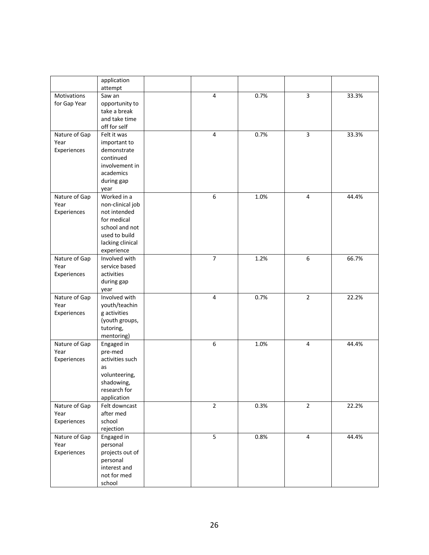|               | application                 |                |      |                |       |
|---------------|-----------------------------|----------------|------|----------------|-------|
| Motivations   | attempt<br>Saw an           | $\overline{4}$ | 0.7% | 3              | 33.3% |
| for Gap Year  | opportunity to              |                |      |                |       |
|               | take a break                |                |      |                |       |
|               | and take time               |                |      |                |       |
|               | off for self                |                |      |                |       |
| Nature of Gap | Felt it was                 | $\sqrt{4}$     | 0.7% | $\overline{3}$ | 33.3% |
| Year          | important to                |                |      |                |       |
| Experiences   | demonstrate                 |                |      |                |       |
|               | continued                   |                |      |                |       |
|               | involvement in              |                |      |                |       |
|               | academics                   |                |      |                |       |
|               | during gap                  |                |      |                |       |
|               | year                        |                |      |                |       |
| Nature of Gap | Worked in a                 | 6              | 1.0% | $\overline{4}$ | 44.4% |
| Year          | non-clinical job            |                |      |                |       |
| Experiences   | not intended                |                |      |                |       |
|               | for medical                 |                |      |                |       |
|               | school and not              |                |      |                |       |
|               | used to build               |                |      |                |       |
|               | lacking clinical            |                |      |                |       |
|               | experience                  |                |      |                |       |
| Nature of Gap | Involved with               | $\overline{7}$ | 1.2% | 6              | 66.7% |
| Year          | service based               |                |      |                |       |
| Experiences   | activities                  |                |      |                |       |
|               | during gap                  |                |      |                |       |
| Nature of Gap | year<br>Involved with       | $\overline{4}$ | 0.7% | $\overline{2}$ | 22.2% |
| Year          | youth/teachin               |                |      |                |       |
| Experiences   | g activities                |                |      |                |       |
|               | (youth groups,              |                |      |                |       |
|               | tutoring,                   |                |      |                |       |
|               | mentoring)                  |                |      |                |       |
| Nature of Gap | Engaged in                  | 6              | 1.0% | 4              | 44.4% |
| Year          | pre-med                     |                |      |                |       |
| Experiences   | activities such             |                |      |                |       |
|               | as                          |                |      |                |       |
|               | volunteering,               |                |      |                |       |
|               | shadowing,                  |                |      |                |       |
|               | research for                |                |      |                |       |
|               | application                 |                |      |                |       |
| Nature of Gap | Felt downcast               | $\overline{2}$ | 0.3% | $\overline{2}$ | 22.2% |
| Year          | after med                   |                |      |                |       |
| Experiences   | school                      |                |      |                |       |
|               | rejection                   |                |      |                |       |
| Nature of Gap | Engaged in                  | 5              | 0.8% | $\overline{4}$ | 44.4% |
| Year          | personal                    |                |      |                |       |
| Experiences   | projects out of             |                |      |                |       |
|               | personal                    |                |      |                |       |
|               | interest and<br>not for med |                |      |                |       |
|               | school                      |                |      |                |       |
|               |                             |                |      |                |       |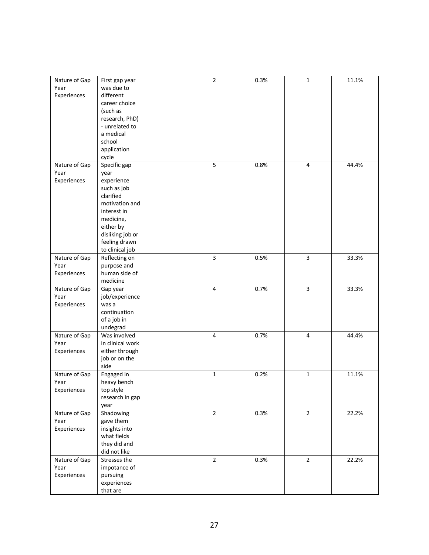| Nature of Gap | First gap year   | $\mathbf 2$             | 0.3% | $\mathbf{1}$   | 11.1% |
|---------------|------------------|-------------------------|------|----------------|-------|
| Year          | was due to       |                         |      |                |       |
| Experiences   | different        |                         |      |                |       |
|               | career choice    |                         |      |                |       |
|               | (such as         |                         |      |                |       |
|               | research, PhD)   |                         |      |                |       |
|               | - unrelated to   |                         |      |                |       |
|               | a medical        |                         |      |                |       |
|               | school           |                         |      |                |       |
|               | application      |                         |      |                |       |
|               | cycle            |                         |      |                |       |
| Nature of Gap | Specific gap     | 5                       | 0.8% | 4              | 44.4% |
| Year          | year             |                         |      |                |       |
| Experiences   | experience       |                         |      |                |       |
|               | such as job      |                         |      |                |       |
|               | clarified        |                         |      |                |       |
|               | motivation and   |                         |      |                |       |
|               | interest in      |                         |      |                |       |
|               | medicine,        |                         |      |                |       |
|               | either by        |                         |      |                |       |
|               | disliking job or |                         |      |                |       |
|               | feeling drawn    |                         |      |                |       |
|               | to clinical job  |                         |      |                |       |
| Nature of Gap | Reflecting on    | 3                       | 0.5% | 3              | 33.3% |
| Year          | purpose and      |                         |      |                |       |
| Experiences   | human side of    |                         |      |                |       |
|               | medicine         |                         |      |                |       |
| Nature of Gap | Gap year         | $\overline{4}$          | 0.7% | 3              | 33.3% |
| Year          | job/experience   |                         |      |                |       |
| Experiences   | was a            |                         |      |                |       |
|               | continuation     |                         |      |                |       |
|               | of a job in      |                         |      |                |       |
|               | undegrad         |                         |      |                |       |
| Nature of Gap | Was involved     | $\overline{\mathbf{4}}$ | 0.7% | 4              | 44.4% |
| Year          | in clinical work |                         |      |                |       |
| Experiences   | either through   |                         |      |                |       |
|               | job or on the    |                         |      |                |       |
|               | side             |                         |      |                |       |
| Nature of Gap | Engaged in       | $\mathbf 1$             | 0.2% | $\mathbf{1}$   | 11.1% |
| Year          | heavy bench      |                         |      |                |       |
| Experiences   | top style        |                         |      |                |       |
|               | research in gap  |                         |      |                |       |
|               | year             |                         |      |                |       |
| Nature of Gap | Shadowing        | $\overline{2}$          | 0.3% | $\overline{2}$ | 22.2% |
| Year          | gave them        |                         |      |                |       |
| Experiences   | insights into    |                         |      |                |       |
|               | what fields      |                         |      |                |       |
|               | they did and     |                         |      |                |       |
|               | did not like     |                         |      |                |       |
| Nature of Gap | Stresses the     | $\overline{2}$          | 0.3% | $\overline{2}$ | 22.2% |
| Year          | impotance of     |                         |      |                |       |
| Experiences   | pursuing         |                         |      |                |       |
|               | experiences      |                         |      |                |       |
|               | that are         |                         |      |                |       |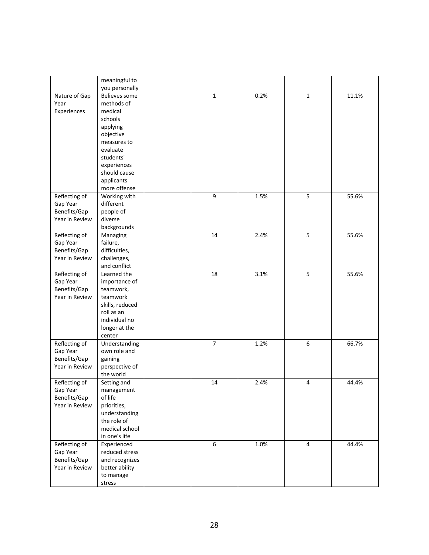|                | meaningful to                   |                |      |                |       |
|----------------|---------------------------------|----------------|------|----------------|-------|
|                | you personally<br>Believes some | $\mathbf 1$    | 0.2% |                | 11.1% |
| Nature of Gap  | methods of                      |                |      | 1              |       |
| Year           |                                 |                |      |                |       |
| Experiences    | medical                         |                |      |                |       |
|                | schools                         |                |      |                |       |
|                | applying                        |                |      |                |       |
|                | objective                       |                |      |                |       |
|                | measures to                     |                |      |                |       |
|                | evaluate                        |                |      |                |       |
|                | students'                       |                |      |                |       |
|                | experiences                     |                |      |                |       |
|                | should cause                    |                |      |                |       |
|                | applicants                      |                |      |                |       |
|                | more offense                    |                |      |                |       |
| Reflecting of  | Working with                    | 9              | 1.5% | 5              | 55.6% |
| Gap Year       | different                       |                |      |                |       |
| Benefits/Gap   | people of                       |                |      |                |       |
| Year in Review | diverse                         |                |      |                |       |
|                | backgrounds                     |                |      |                |       |
| Reflecting of  | Managing                        | 14             | 2.4% | 5              | 55.6% |
| Gap Year       | failure,                        |                |      |                |       |
| Benefits/Gap   | difficulties,                   |                |      |                |       |
| Year in Review | challenges,                     |                |      |                |       |
|                | and conflict                    |                |      |                |       |
| Reflecting of  | Learned the                     | 18             | 3.1% | 5              | 55.6% |
| Gap Year       | importance of                   |                |      |                |       |
| Benefits/Gap   | teamwork,                       |                |      |                |       |
| Year in Review | teamwork                        |                |      |                |       |
|                | skills, reduced                 |                |      |                |       |
|                | roll as an                      |                |      |                |       |
|                | individual no                   |                |      |                |       |
|                | longer at the                   |                |      |                |       |
|                | center                          |                |      |                |       |
| Reflecting of  | Understanding                   | $\overline{7}$ | 1.2% | 6              | 66.7% |
| Gap Year       | own role and                    |                |      |                |       |
| Benefits/Gap   | gaining                         |                |      |                |       |
| Year in Review | perspective of                  |                |      |                |       |
|                | the world                       |                |      |                |       |
| Reflecting of  | Setting and                     | 14             | 2.4% | 4              | 44.4% |
| Gap Year       | management                      |                |      |                |       |
| Benefits/Gap   | of life                         |                |      |                |       |
| Year in Review | priorities,                     |                |      |                |       |
|                | understanding                   |                |      |                |       |
|                | the role of                     |                |      |                |       |
|                | medical school                  |                |      |                |       |
|                | in one's life                   |                |      |                |       |
| Reflecting of  | Experienced                     | 6              | 1.0% | $\overline{4}$ | 44.4% |
| Gap Year       | reduced stress                  |                |      |                |       |
| Benefits/Gap   | and recognizes                  |                |      |                |       |
| Year in Review | better ability                  |                |      |                |       |
|                | to manage                       |                |      |                |       |
|                | stress                          |                |      |                |       |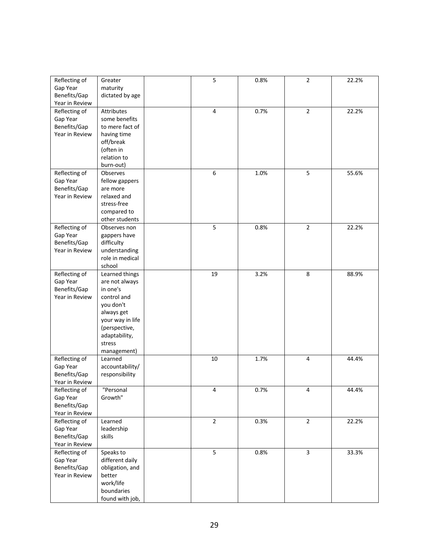| Reflecting of  | Greater          | 5              | 0.8% | $\overline{2}$ | 22.2% |
|----------------|------------------|----------------|------|----------------|-------|
| Gap Year       | maturity         |                |      |                |       |
| Benefits/Gap   | dictated by age  |                |      |                |       |
| Year in Review |                  |                |      |                |       |
| Reflecting of  | Attributes       | $\overline{4}$ | 0.7% | $\overline{2}$ | 22.2% |
| Gap Year       | some benefits    |                |      |                |       |
| Benefits/Gap   | to mere fact of  |                |      |                |       |
| Year in Review | having time      |                |      |                |       |
|                | off/break        |                |      |                |       |
|                | (often in        |                |      |                |       |
|                | relation to      |                |      |                |       |
|                | burn-out)        |                |      |                |       |
| Reflecting of  | Observes         | 6              | 1.0% | 5              | 55.6% |
| Gap Year       | fellow gappers   |                |      |                |       |
| Benefits/Gap   | are more         |                |      |                |       |
| Year in Review | relaxed and      |                |      |                |       |
|                | stress-free      |                |      |                |       |
|                | compared to      |                |      |                |       |
|                | other students   |                |      |                |       |
| Reflecting of  | Observes non     | 5              | 0.8% | $\overline{2}$ | 22.2% |
| Gap Year       | gappers have     |                |      |                |       |
| Benefits/Gap   | difficulty       |                |      |                |       |
| Year in Review | understanding    |                |      |                |       |
|                | role in medical  |                |      |                |       |
|                | school           |                |      |                |       |
| Reflecting of  | Learned things   | 19             | 3.2% | 8              | 88.9% |
| Gap Year       | are not always   |                |      |                |       |
| Benefits/Gap   | in one's         |                |      |                |       |
| Year in Review | control and      |                |      |                |       |
|                | you don't        |                |      |                |       |
|                | always get       |                |      |                |       |
|                | your way in life |                |      |                |       |
|                | (perspective,    |                |      |                |       |
|                | adaptability,    |                |      |                |       |
|                | stress           |                |      |                |       |
|                | management)      |                |      |                |       |
| Reflecting of  | Learned          | $10\,$         | 1.7% | $\overline{4}$ | 44.4% |
| Gap Year       | accountability/  |                |      |                |       |
| Benefits/Gap   | responsibility   |                |      |                |       |
| Year in Review |                  |                |      |                |       |
| Reflecting of  | "Personal        | 4              | 0.7% | Δ              | 44.4% |
| Gap Year       | Growth"          |                |      |                |       |
| Benefits/Gap   |                  |                |      |                |       |
| Year in Review |                  |                |      |                |       |
| Reflecting of  | Learned          | $\overline{2}$ | 0.3% | $\overline{2}$ | 22.2% |
| Gap Year       | leadership       |                |      |                |       |
| Benefits/Gap   | skills           |                |      |                |       |
| Year in Review |                  |                |      |                |       |
| Reflecting of  | Speaks to        | 5              | 0.8% | $\overline{3}$ | 33.3% |
| Gap Year       | different daily  |                |      |                |       |
| Benefits/Gap   | obligation, and  |                |      |                |       |
| Year in Review | better           |                |      |                |       |
|                | work/life        |                |      |                |       |
|                | boundaries       |                |      |                |       |
|                | found with job,  |                |      |                |       |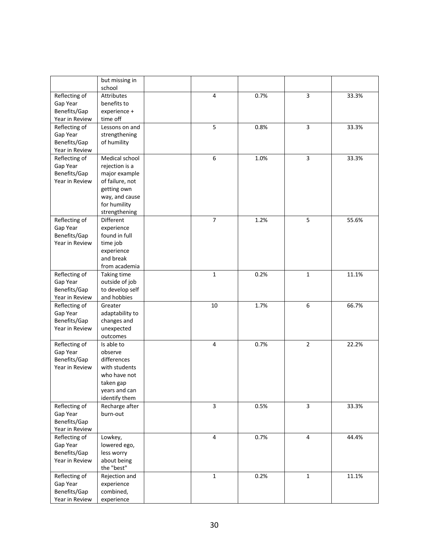|                | but missing in<br>school |                |      |                |       |
|----------------|--------------------------|----------------|------|----------------|-------|
| Reflecting of  | Attributes               | $\overline{4}$ | 0.7% | 3              | 33.3% |
| Gap Year       | benefits to              |                |      |                |       |
| Benefits/Gap   | experience +             |                |      |                |       |
| Year in Review | time off                 |                |      |                |       |
| Reflecting of  | Lessons on and           | 5              | 0.8% | 3              | 33.3% |
| Gap Year       | strengthening            |                |      |                |       |
| Benefits/Gap   | of humility              |                |      |                |       |
| Year in Review |                          |                |      |                |       |
| Reflecting of  | Medical school           | 6              | 1.0% | 3              | 33.3% |
| Gap Year       | rejection is a           |                |      |                |       |
| Benefits/Gap   | major example            |                |      |                |       |
| Year in Review | of failure, not          |                |      |                |       |
|                | getting own              |                |      |                |       |
|                | way, and cause           |                |      |                |       |
|                | for humility             |                |      |                |       |
|                | strengthening            |                |      |                |       |
| Reflecting of  | Different                | $\overline{7}$ | 1.2% | 5              | 55.6% |
| Gap Year       | experience               |                |      |                |       |
| Benefits/Gap   | found in full            |                |      |                |       |
| Year in Review | time job                 |                |      |                |       |
|                | experience               |                |      |                |       |
|                | and break                |                |      |                |       |
|                | from academia            |                |      |                |       |
| Reflecting of  | Taking time              | $\mathbf 1$    | 0.2% | $\mathbf{1}$   | 11.1% |
| Gap Year       | outside of job           |                |      |                |       |
| Benefits/Gap   | to develop self          |                |      |                |       |
| Year in Review | and hobbies              |                |      |                |       |
| Reflecting of  | Greater                  | 10             | 1.7% | 6              | 66.7% |
| Gap Year       | adaptability to          |                |      |                |       |
| Benefits/Gap   | changes and              |                |      |                |       |
| Year in Review | unexpected               |                |      |                |       |
|                | outcomes                 |                |      |                |       |
| Reflecting of  | Is able to               | $\overline{4}$ | 0.7% | $\overline{2}$ | 22.2% |
| Gap Year       | observe                  |                |      |                |       |
| Benefits/Gap   | differences              |                |      |                |       |
| Year in Review | with students            |                |      |                |       |
|                | who have not             |                |      |                |       |
|                | taken gap                |                |      |                |       |
|                | years and can            |                |      |                |       |
|                | identify them            |                |      |                |       |
| Reflecting of  | Recharge after           | 3              | 0.5% | 3              | 33.3% |
| Gap Year       | burn-out                 |                |      |                |       |
| Benefits/Gap   |                          |                |      |                |       |
| Year in Review |                          |                |      |                |       |
| Reflecting of  | Lowkey,                  | $\overline{4}$ | 0.7% | $\overline{4}$ | 44.4% |
| Gap Year       | lowered ego,             |                |      |                |       |
| Benefits/Gap   | less worry               |                |      |                |       |
| Year in Review | about being              |                |      |                |       |
|                | the "best"               |                |      |                |       |
| Reflecting of  | Rejection and            | $\mathbf 1$    | 0.2% | $\mathbf{1}$   | 11.1% |
| Gap Year       | experience               |                |      |                |       |
| Benefits/Gap   | combined,                |                |      |                |       |
| Year in Review | experience               |                |      |                |       |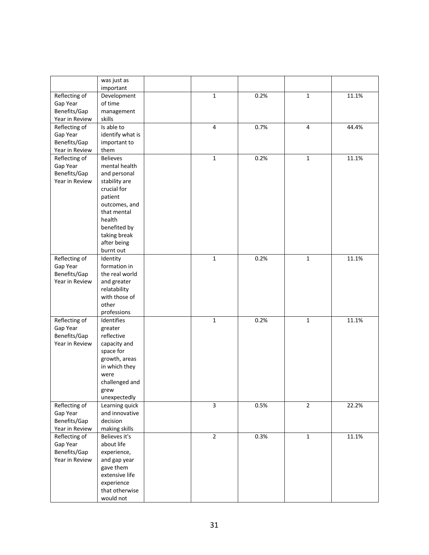|                | was just as<br>important    |                |      |                |       |
|----------------|-----------------------------|----------------|------|----------------|-------|
| Reflecting of  | Development                 | $\mathbf{1}$   | 0.2% | $\mathbf 1$    | 11.1% |
| Gap Year       | of time                     |                |      |                |       |
| Benefits/Gap   | management                  |                |      |                |       |
| Year in Review | skills                      |                |      |                |       |
| Reflecting of  | Is able to                  | $\overline{4}$ | 0.7% | $\overline{4}$ | 44.4% |
| Gap Year       | identify what is            |                |      |                |       |
| Benefits/Gap   | important to                |                |      |                |       |
| Year in Review | them                        |                |      |                |       |
| Reflecting of  | <b>Believes</b>             | $\mathbf{1}$   | 0.2% | $\mathbf 1$    | 11.1% |
| Gap Year       | mental health               |                |      |                |       |
| Benefits/Gap   | and personal                |                |      |                |       |
| Year in Review | stability are               |                |      |                |       |
|                | crucial for                 |                |      |                |       |
|                | patient                     |                |      |                |       |
|                | outcomes, and               |                |      |                |       |
|                | that mental<br>health       |                |      |                |       |
|                | benefited by                |                |      |                |       |
|                | taking break                |                |      |                |       |
|                | after being                 |                |      |                |       |
|                | burnt out                   |                |      |                |       |
| Reflecting of  | Identity                    | $\mathbf{1}$   | 0.2% | $\mathbf 1$    | 11.1% |
| Gap Year       | formation in                |                |      |                |       |
| Benefits/Gap   | the real world              |                |      |                |       |
| Year in Review | and greater                 |                |      |                |       |
|                | relatability                |                |      |                |       |
|                | with those of               |                |      |                |       |
|                | other                       |                |      |                |       |
|                | professions                 |                |      |                |       |
| Reflecting of  | Identifies                  | $\mathbf{1}$   | 0.2% | $\mathbf 1$    | 11.1% |
| Gap Year       | greater                     |                |      |                |       |
| Benefits/Gap   | reflective                  |                |      |                |       |
| Year in Review | capacity and<br>space for   |                |      |                |       |
|                | growth, areas               |                |      |                |       |
|                | in which they               |                |      |                |       |
|                | were                        |                |      |                |       |
|                | challenged and              |                |      |                |       |
|                | grew                        |                |      |                |       |
|                | unexpectedly                |                |      |                |       |
| Reflecting of  | Learning quick              | 3              | 0.5% | $\overline{2}$ | 22.2% |
| Gap Year       | and innovative              |                |      |                |       |
| Benefits/Gap   | decision                    |                |      |                |       |
| Year in Review | making skills               |                |      |                |       |
| Reflecting of  | Believes it's               | $\overline{2}$ | 0.3% | $\mathbf{1}$   | 11.1% |
| Gap Year       | about life                  |                |      |                |       |
| Benefits/Gap   | experience,                 |                |      |                |       |
| Year in Review | and gap year                |                |      |                |       |
|                | gave them<br>extensive life |                |      |                |       |
|                | experience                  |                |      |                |       |
|                | that otherwise              |                |      |                |       |
|                | would not                   |                |      |                |       |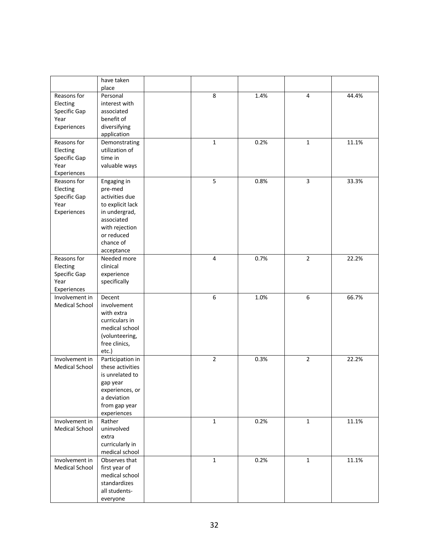|                       | have taken<br>place |                |      |                |       |
|-----------------------|---------------------|----------------|------|----------------|-------|
| Reasons for           | Personal            | 8              | 1.4% | 4              | 44.4% |
| Electing              | interest with       |                |      |                |       |
| Specific Gap          | associated          |                |      |                |       |
| Year                  | benefit of          |                |      |                |       |
| Experiences           | diversifying        |                |      |                |       |
|                       | application         |                |      |                |       |
| Reasons for           | Demonstrating       | 1              | 0.2% | $\mathbf{1}$   | 11.1% |
| Electing              | utilization of      |                |      |                |       |
| Specific Gap          | time in             |                |      |                |       |
| Year                  | valuable ways       |                |      |                |       |
| Experiences           |                     |                |      |                |       |
| Reasons for           | Engaging in         | 5              | 0.8% | $\overline{3}$ | 33.3% |
| Electing              | pre-med             |                |      |                |       |
| Specific Gap          | activities due      |                |      |                |       |
| Year                  | to explicit lack    |                |      |                |       |
| Experiences           | in undergrad,       |                |      |                |       |
|                       | associated          |                |      |                |       |
|                       | with rejection      |                |      |                |       |
|                       | or reduced          |                |      |                |       |
|                       | chance of           |                |      |                |       |
|                       | acceptance          |                |      |                |       |
| Reasons for           | Needed more         | $\overline{4}$ | 0.7% | $\overline{2}$ | 22.2% |
| Electing              | clinical            |                |      |                |       |
| Specific Gap          | experience          |                |      |                |       |
| Year                  | specifically        |                |      |                |       |
| Experiences           |                     |                |      |                |       |
| Involvement in        | Decent              | 6              | 1.0% | 6              | 66.7% |
| <b>Medical School</b> | involvement         |                |      |                |       |
|                       | with extra          |                |      |                |       |
|                       | curriculars in      |                |      |                |       |
|                       | medical school      |                |      |                |       |
|                       | (volunteering,      |                |      |                |       |
|                       | free clinics,       |                |      |                |       |
|                       | etc.)               |                |      |                |       |
| Involvement in        | Participation in    | $\overline{2}$ | 0.3% | $\overline{2}$ | 22.2% |
| <b>Medical School</b> | these activities    |                |      |                |       |
|                       | is unrelated to     |                |      |                |       |
|                       | gap year            |                |      |                |       |
|                       | experiences, or     |                |      |                |       |
|                       | a deviation         |                |      |                |       |
|                       | from gap year       |                |      |                |       |
|                       | experiences         |                |      |                |       |
| Involvement in        | Rather              | $\mathbf 1$    | 0.2% | $\mathbf 1$    | 11.1% |
| <b>Medical School</b> | uninvolved          |                |      |                |       |
|                       | extra               |                |      |                |       |
|                       | curricularly in     |                |      |                |       |
|                       | medical school      |                |      |                |       |
| Involvement in        | Observes that       | $\mathbf{1}$   | 0.2% | $\mathbf 1$    | 11.1% |
| Medical School        | first year of       |                |      |                |       |
|                       | medical school      |                |      |                |       |
|                       | standardizes        |                |      |                |       |
|                       | all students-       |                |      |                |       |
|                       | everyone            |                |      |                |       |
|                       |                     |                |      |                |       |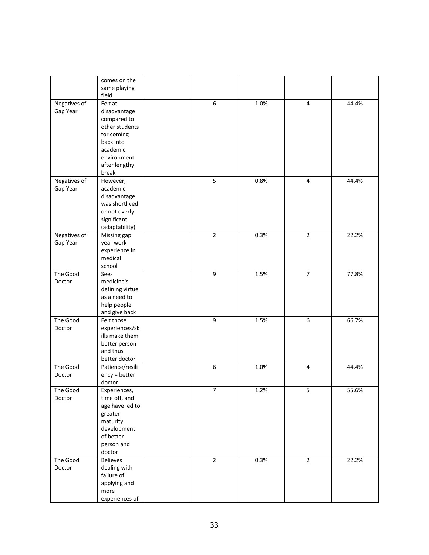|                          | comes on the<br>same playing<br>field                                                                                                    |                  |      |                         |       |
|--------------------------|------------------------------------------------------------------------------------------------------------------------------------------|------------------|------|-------------------------|-------|
| Negatives of<br>Gap Year | Felt at<br>disadvantage<br>compared to<br>other students<br>for coming<br>back into<br>academic<br>environment<br>after lengthy<br>break | 6                | 1.0% | 4                       | 44.4% |
| Negatives of<br>Gap Year | However,<br>academic<br>disadvantage<br>was shortlived<br>or not overly<br>significant<br>(adaptability)                                 | 5                | 0.8% | $\overline{4}$          | 44.4% |
| Negatives of<br>Gap Year | Missing gap<br>year work<br>experience in<br>medical<br>school                                                                           | $\overline{2}$   | 0.3% | $\overline{2}$          | 22.2% |
| The Good<br>Doctor       | Sees<br>medicine's<br>defining virtue<br>as a need to<br>help people<br>and give back                                                    | 9                | 1.5% | $\overline{7}$          | 77.8% |
| The Good<br>Doctor       | Felt those<br>experiences/sk<br>ills make them<br>better person<br>and thus<br>better doctor                                             | $\boldsymbol{9}$ | 1.5% | 6                       | 66.7% |
| The Good<br>Doctor       | Patience/resili<br>ency = better<br>doctor                                                                                               | $\boldsymbol{6}$ | 1.0% | $\overline{\mathbf{4}}$ | 44.4% |
| The Good<br>Doctor       | Experiences,<br>time off, and<br>age have led to<br>greater<br>maturity,<br>development<br>of better<br>person and<br>doctor             | 7                | 1.2% | 5                       | 55.6% |
| The Good<br>Doctor       | <b>Believes</b><br>dealing with<br>failure of<br>applying and<br>more<br>experiences of                                                  | $\overline{2}$   | 0.3% | $\overline{2}$          | 22.2% |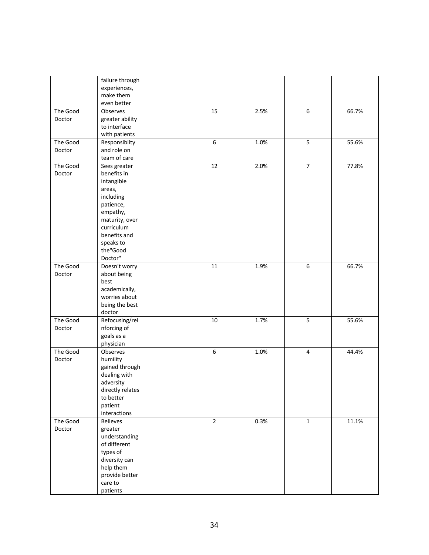|          | failure through  |                |      |                  |       |
|----------|------------------|----------------|------|------------------|-------|
|          | experiences,     |                |      |                  |       |
|          | make them        |                |      |                  |       |
|          | even better      |                |      |                  |       |
| The Good | Observes         | 15             | 2.5% | 6                | 66.7% |
| Doctor   | greater ability  |                |      |                  |       |
|          | to interface     |                |      |                  |       |
|          | with patients    |                |      |                  |       |
| The Good | Responsiblity    | 6              | 1.0% | 5                | 55.6% |
| Doctor   | and role on      |                |      |                  |       |
|          |                  |                |      |                  |       |
|          | team of care     |                |      |                  |       |
| The Good | Sees greater     | 12             | 2.0% | $\overline{7}$   | 77.8% |
| Doctor   | benefits in      |                |      |                  |       |
|          | intangible       |                |      |                  |       |
|          | areas,           |                |      |                  |       |
|          | including        |                |      |                  |       |
|          | patience,        |                |      |                  |       |
|          | empathy,         |                |      |                  |       |
|          | maturity, over   |                |      |                  |       |
|          | curriculum       |                |      |                  |       |
|          | benefits and     |                |      |                  |       |
|          | speaks to        |                |      |                  |       |
|          | the"Good         |                |      |                  |       |
|          | Doctor"          |                |      |                  |       |
| The Good | Doesn't worry    | 11             | 1.9% | $\boldsymbol{6}$ | 66.7% |
| Doctor   | about being      |                |      |                  |       |
|          | best             |                |      |                  |       |
|          | academically,    |                |      |                  |       |
|          | worries about    |                |      |                  |       |
|          | being the best   |                |      |                  |       |
|          | doctor           |                |      |                  |       |
| The Good | Refocusing/rei   | 10             | 1.7% | 5                | 55.6% |
| Doctor   | nforcing of      |                |      |                  |       |
|          | goals as a       |                |      |                  |       |
|          |                  |                |      |                  |       |
|          | physician        |                |      |                  |       |
| The Good | Observes         | 6              | 1.0% | $\sqrt{4}$       | 44.4% |
| Doctor   | humility         |                |      |                  |       |
|          | gained through   |                |      |                  |       |
|          | dealing with     |                |      |                  |       |
|          | adversity        |                |      |                  |       |
|          | directly relates |                |      |                  |       |
|          | to better        |                |      |                  |       |
|          | patient          |                |      |                  |       |
|          | interactions     |                |      |                  |       |
| The Good | <b>Believes</b>  | $\overline{2}$ | 0.3% | $\mathbf{1}$     | 11.1% |
| Doctor   | greater          |                |      |                  |       |
|          | understanding    |                |      |                  |       |
|          | of different     |                |      |                  |       |
|          | types of         |                |      |                  |       |
|          | diversity can    |                |      |                  |       |
|          | help them        |                |      |                  |       |
|          | provide better   |                |      |                  |       |
|          | care to          |                |      |                  |       |
|          | patients         |                |      |                  |       |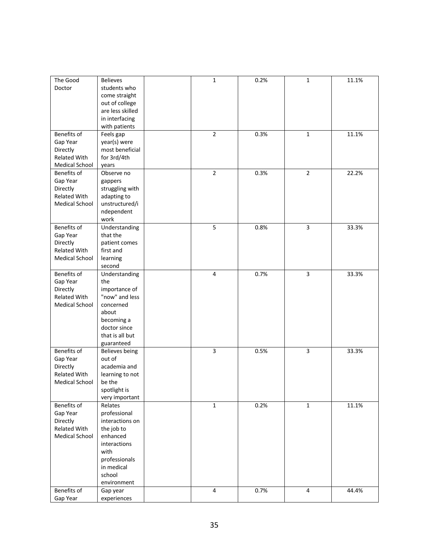| The Good                        | <b>Believes</b>  | 1              | 0.2% | 1              | 11.1% |
|---------------------------------|------------------|----------------|------|----------------|-------|
| Doctor                          | students who     |                |      |                |       |
|                                 | come straight    |                |      |                |       |
|                                 | out of college   |                |      |                |       |
|                                 | are less skilled |                |      |                |       |
|                                 | in interfacing   |                |      |                |       |
|                                 | with patients    |                |      |                |       |
| Benefits of                     |                  | $\overline{2}$ | 0.3% | 1              | 11.1% |
|                                 | Feels gap        |                |      |                |       |
| Gap Year                        | year(s) were     |                |      |                |       |
| Directly                        | most beneficial  |                |      |                |       |
| Related With                    | for 3rd/4th      |                |      |                |       |
| <b>Medical School</b>           | years            |                |      |                |       |
| Benefits of                     | Observe no       | $\overline{2}$ | 0.3% | $\overline{2}$ | 22.2% |
| Gap Year                        | gappers          |                |      |                |       |
| Directly                        | struggling with  |                |      |                |       |
| Related With                    | adapting to      |                |      |                |       |
| Medical School                  | unstructured/i   |                |      |                |       |
|                                 | ndependent       |                |      |                |       |
|                                 | work             |                |      |                |       |
| Benefits of                     | Understanding    | 5              | 0.8% | 3              | 33.3% |
| Gap Year                        | that the         |                |      |                |       |
| Directly                        | patient comes    |                |      |                |       |
| <b>Related With</b>             | first and        |                |      |                |       |
| <b>Medical School</b>           | learning         |                |      |                |       |
|                                 | second           |                |      |                |       |
|                                 |                  |                |      |                |       |
| Benefits of                     | Understanding    | $\pmb{4}$      | 0.7% | 3              | 33.3% |
| Gap Year                        | the              |                |      |                |       |
| Directly                        | importance of    |                |      |                |       |
| Related With                    | "now" and less   |                |      |                |       |
| Medical School                  | concerned        |                |      |                |       |
|                                 | about            |                |      |                |       |
|                                 | becoming a       |                |      |                |       |
|                                 | doctor since     |                |      |                |       |
|                                 | that is all but  |                |      |                |       |
|                                 | guaranteed       |                |      |                |       |
| Benefits of                     | Believes being   | 3              | 0.5% | 3              | 33.3% |
| Gap Year                        | out of           |                |      |                |       |
| Directly                        | academia and     |                |      |                |       |
| Related With                    | learning to not  |                |      |                |       |
| <b>Medical School</b>           | be the           |                |      |                |       |
|                                 | spotlight is     |                |      |                |       |
|                                 | very important   |                |      |                |       |
| Benefits of                     | Relates          | $\mathbf{1}$   | 0.2% | $\mathbf 1$    | 11.1% |
| Gap Year                        | professional     |                |      |                |       |
|                                 |                  |                |      |                |       |
| Directly<br><b>Related With</b> | interactions on  |                |      |                |       |
|                                 | the job to       |                |      |                |       |
| <b>Medical School</b>           | enhanced         |                |      |                |       |
|                                 | interactions     |                |      |                |       |
|                                 | with             |                |      |                |       |
|                                 | professionals    |                |      |                |       |
|                                 | in medical       |                |      |                |       |
|                                 | school           |                |      |                |       |
|                                 | environment      |                |      |                |       |
| Benefits of                     | Gap year         | $\pmb{4}$      | 0.7% | 4              | 44.4% |
| Gap Year                        | experiences      |                |      |                |       |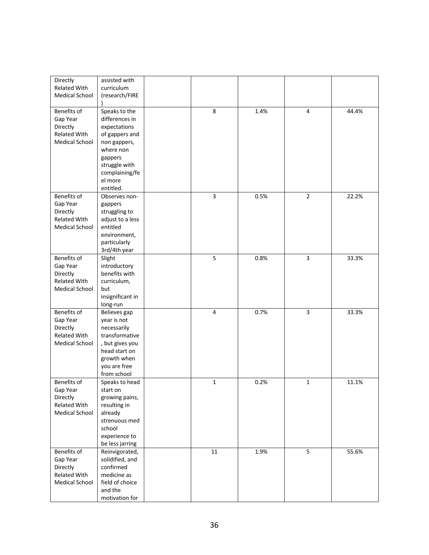| Directly<br>Related With<br><b>Medical School</b>                            | assisted with<br>curriculum<br>(research/FIRE                                                                                                                        |                |      |                |       |
|------------------------------------------------------------------------------|----------------------------------------------------------------------------------------------------------------------------------------------------------------------|----------------|------|----------------|-------|
| Benefits of<br>Gap Year<br>Directly<br>Related With<br><b>Medical School</b> | Speaks to the<br>differences in<br>expectations<br>of gappers and<br>non gappers,<br>where non<br>gappers<br>struggle with<br>complaining/fe<br>el more<br>entitled. | 8              | 1.4% | 4              | 44.4% |
| Benefits of<br>Gap Year<br>Directly<br>Related With<br><b>Medical School</b> | Observes non-<br>gappers<br>struggling to<br>adjust to a less<br>entitled<br>environment,<br>particularly<br>3rd/4th year                                            | 3              | 0.5% | $\overline{2}$ | 22.2% |
| Benefits of<br>Gap Year<br>Directly<br>Related With<br><b>Medical School</b> | Slight<br>introductory<br>benefits with<br>curriculum,<br>but<br>insignificant in<br>long-run                                                                        | 5              | 0.8% | 3              | 33.3% |
| Benefits of<br>Gap Year<br>Directly<br>Related With<br>Medical School        | Believes gap<br>year is not<br>necessarily<br>transformative<br>, but gives you<br>head start on<br>growth when<br>you are free<br>from school                       | $\overline{4}$ | 0.7% | 3              | 33.3% |
| Benefits of<br>Gap Year<br>Directly<br>Related With<br><b>Medical School</b> | Speaks to head<br>start on<br>growing pains,<br>resulting in<br>already<br>strenuous med<br>school<br>experience to<br>be less jarring                               | $\mathbf 1$    | 0.2% | 1              | 11.1% |
| Benefits of<br>Gap Year<br>Directly<br>Related With<br><b>Medical School</b> | Reinvigorated,<br>solidified, and<br>confirmed<br>medicine as<br>field of choice<br>and the<br>motivation for                                                        | $11\,$         | 1.9% | $\overline{5}$ | 55.6% |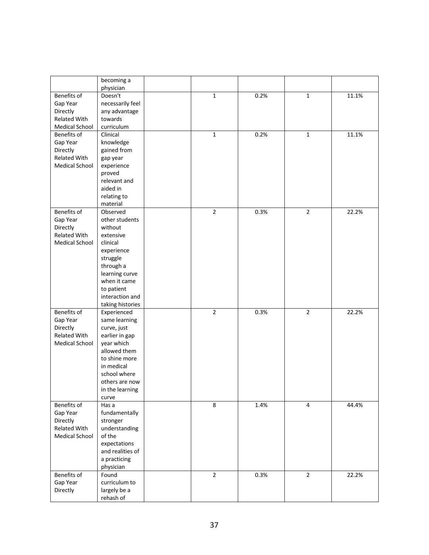| Benefits of<br>Doesn't<br>$\mathbf{1}$<br>0.2%<br>$\mathbf 1$<br>11.1%<br>Gap Year<br>necessarily feel<br>Directly<br>any advantage<br>Related With<br>towards<br>Medical School<br>curriculum<br>0.2%<br>Benefits of<br>Clinical<br>$\mathbf 1$<br>11.1%<br>$\mathbf{1}$<br>Gap Year<br>knowledge<br>Directly<br>gained from<br>Related With<br>gap year<br><b>Medical School</b><br>experience<br>proved<br>relevant and<br>aided in<br>relating to<br>material<br>Benefits of<br>$\overline{2}$<br>0.3%<br>22.2%<br>Observed<br>$\overline{2}$<br>Gap Year<br>other students<br>without<br>Directly<br>Related With<br>extensive<br><b>Medical School</b><br>clinical<br>experience<br>struggle<br>through a<br>learning curve<br>when it came<br>to patient<br>interaction and<br>taking histories<br>Benefits of<br>$\overline{2}$<br>0.3%<br>$\overline{2}$<br>22.2%<br>Experienced<br>Gap Year<br>same learning<br>Directly<br>curve, just<br>Related With<br>earlier in gap<br>Medical School<br>year which<br>allowed them<br>to shine more<br>in medical<br>school where<br>others are now<br>in the learning<br>curve<br>8<br>1.4%<br>Benefits of<br>44.4%<br>Has a<br>4<br>Gap Year<br>fundamentally<br>Directly<br>stronger |              | becoming a    |  |  |  |
|------------------------------------------------------------------------------------------------------------------------------------------------------------------------------------------------------------------------------------------------------------------------------------------------------------------------------------------------------------------------------------------------------------------------------------------------------------------------------------------------------------------------------------------------------------------------------------------------------------------------------------------------------------------------------------------------------------------------------------------------------------------------------------------------------------------------------------------------------------------------------------------------------------------------------------------------------------------------------------------------------------------------------------------------------------------------------------------------------------------------------------------------------------------------------------------------------------------------------------------|--------------|---------------|--|--|--|
|                                                                                                                                                                                                                                                                                                                                                                                                                                                                                                                                                                                                                                                                                                                                                                                                                                                                                                                                                                                                                                                                                                                                                                                                                                          |              | physician     |  |  |  |
|                                                                                                                                                                                                                                                                                                                                                                                                                                                                                                                                                                                                                                                                                                                                                                                                                                                                                                                                                                                                                                                                                                                                                                                                                                          |              |               |  |  |  |
|                                                                                                                                                                                                                                                                                                                                                                                                                                                                                                                                                                                                                                                                                                                                                                                                                                                                                                                                                                                                                                                                                                                                                                                                                                          |              |               |  |  |  |
|                                                                                                                                                                                                                                                                                                                                                                                                                                                                                                                                                                                                                                                                                                                                                                                                                                                                                                                                                                                                                                                                                                                                                                                                                                          |              |               |  |  |  |
|                                                                                                                                                                                                                                                                                                                                                                                                                                                                                                                                                                                                                                                                                                                                                                                                                                                                                                                                                                                                                                                                                                                                                                                                                                          |              |               |  |  |  |
|                                                                                                                                                                                                                                                                                                                                                                                                                                                                                                                                                                                                                                                                                                                                                                                                                                                                                                                                                                                                                                                                                                                                                                                                                                          |              |               |  |  |  |
|                                                                                                                                                                                                                                                                                                                                                                                                                                                                                                                                                                                                                                                                                                                                                                                                                                                                                                                                                                                                                                                                                                                                                                                                                                          |              |               |  |  |  |
|                                                                                                                                                                                                                                                                                                                                                                                                                                                                                                                                                                                                                                                                                                                                                                                                                                                                                                                                                                                                                                                                                                                                                                                                                                          |              |               |  |  |  |
|                                                                                                                                                                                                                                                                                                                                                                                                                                                                                                                                                                                                                                                                                                                                                                                                                                                                                                                                                                                                                                                                                                                                                                                                                                          |              |               |  |  |  |
|                                                                                                                                                                                                                                                                                                                                                                                                                                                                                                                                                                                                                                                                                                                                                                                                                                                                                                                                                                                                                                                                                                                                                                                                                                          |              |               |  |  |  |
|                                                                                                                                                                                                                                                                                                                                                                                                                                                                                                                                                                                                                                                                                                                                                                                                                                                                                                                                                                                                                                                                                                                                                                                                                                          |              |               |  |  |  |
|                                                                                                                                                                                                                                                                                                                                                                                                                                                                                                                                                                                                                                                                                                                                                                                                                                                                                                                                                                                                                                                                                                                                                                                                                                          |              |               |  |  |  |
|                                                                                                                                                                                                                                                                                                                                                                                                                                                                                                                                                                                                                                                                                                                                                                                                                                                                                                                                                                                                                                                                                                                                                                                                                                          |              |               |  |  |  |
|                                                                                                                                                                                                                                                                                                                                                                                                                                                                                                                                                                                                                                                                                                                                                                                                                                                                                                                                                                                                                                                                                                                                                                                                                                          |              |               |  |  |  |
|                                                                                                                                                                                                                                                                                                                                                                                                                                                                                                                                                                                                                                                                                                                                                                                                                                                                                                                                                                                                                                                                                                                                                                                                                                          |              |               |  |  |  |
|                                                                                                                                                                                                                                                                                                                                                                                                                                                                                                                                                                                                                                                                                                                                                                                                                                                                                                                                                                                                                                                                                                                                                                                                                                          |              |               |  |  |  |
|                                                                                                                                                                                                                                                                                                                                                                                                                                                                                                                                                                                                                                                                                                                                                                                                                                                                                                                                                                                                                                                                                                                                                                                                                                          |              |               |  |  |  |
|                                                                                                                                                                                                                                                                                                                                                                                                                                                                                                                                                                                                                                                                                                                                                                                                                                                                                                                                                                                                                                                                                                                                                                                                                                          |              |               |  |  |  |
|                                                                                                                                                                                                                                                                                                                                                                                                                                                                                                                                                                                                                                                                                                                                                                                                                                                                                                                                                                                                                                                                                                                                                                                                                                          |              |               |  |  |  |
|                                                                                                                                                                                                                                                                                                                                                                                                                                                                                                                                                                                                                                                                                                                                                                                                                                                                                                                                                                                                                                                                                                                                                                                                                                          |              |               |  |  |  |
|                                                                                                                                                                                                                                                                                                                                                                                                                                                                                                                                                                                                                                                                                                                                                                                                                                                                                                                                                                                                                                                                                                                                                                                                                                          |              |               |  |  |  |
|                                                                                                                                                                                                                                                                                                                                                                                                                                                                                                                                                                                                                                                                                                                                                                                                                                                                                                                                                                                                                                                                                                                                                                                                                                          |              |               |  |  |  |
|                                                                                                                                                                                                                                                                                                                                                                                                                                                                                                                                                                                                                                                                                                                                                                                                                                                                                                                                                                                                                                                                                                                                                                                                                                          |              |               |  |  |  |
|                                                                                                                                                                                                                                                                                                                                                                                                                                                                                                                                                                                                                                                                                                                                                                                                                                                                                                                                                                                                                                                                                                                                                                                                                                          |              |               |  |  |  |
|                                                                                                                                                                                                                                                                                                                                                                                                                                                                                                                                                                                                                                                                                                                                                                                                                                                                                                                                                                                                                                                                                                                                                                                                                                          |              |               |  |  |  |
|                                                                                                                                                                                                                                                                                                                                                                                                                                                                                                                                                                                                                                                                                                                                                                                                                                                                                                                                                                                                                                                                                                                                                                                                                                          |              |               |  |  |  |
|                                                                                                                                                                                                                                                                                                                                                                                                                                                                                                                                                                                                                                                                                                                                                                                                                                                                                                                                                                                                                                                                                                                                                                                                                                          |              |               |  |  |  |
|                                                                                                                                                                                                                                                                                                                                                                                                                                                                                                                                                                                                                                                                                                                                                                                                                                                                                                                                                                                                                                                                                                                                                                                                                                          |              |               |  |  |  |
|                                                                                                                                                                                                                                                                                                                                                                                                                                                                                                                                                                                                                                                                                                                                                                                                                                                                                                                                                                                                                                                                                                                                                                                                                                          |              |               |  |  |  |
|                                                                                                                                                                                                                                                                                                                                                                                                                                                                                                                                                                                                                                                                                                                                                                                                                                                                                                                                                                                                                                                                                                                                                                                                                                          |              |               |  |  |  |
|                                                                                                                                                                                                                                                                                                                                                                                                                                                                                                                                                                                                                                                                                                                                                                                                                                                                                                                                                                                                                                                                                                                                                                                                                                          |              |               |  |  |  |
|                                                                                                                                                                                                                                                                                                                                                                                                                                                                                                                                                                                                                                                                                                                                                                                                                                                                                                                                                                                                                                                                                                                                                                                                                                          |              |               |  |  |  |
|                                                                                                                                                                                                                                                                                                                                                                                                                                                                                                                                                                                                                                                                                                                                                                                                                                                                                                                                                                                                                                                                                                                                                                                                                                          |              |               |  |  |  |
|                                                                                                                                                                                                                                                                                                                                                                                                                                                                                                                                                                                                                                                                                                                                                                                                                                                                                                                                                                                                                                                                                                                                                                                                                                          |              |               |  |  |  |
|                                                                                                                                                                                                                                                                                                                                                                                                                                                                                                                                                                                                                                                                                                                                                                                                                                                                                                                                                                                                                                                                                                                                                                                                                                          |              |               |  |  |  |
|                                                                                                                                                                                                                                                                                                                                                                                                                                                                                                                                                                                                                                                                                                                                                                                                                                                                                                                                                                                                                                                                                                                                                                                                                                          |              |               |  |  |  |
|                                                                                                                                                                                                                                                                                                                                                                                                                                                                                                                                                                                                                                                                                                                                                                                                                                                                                                                                                                                                                                                                                                                                                                                                                                          |              |               |  |  |  |
|                                                                                                                                                                                                                                                                                                                                                                                                                                                                                                                                                                                                                                                                                                                                                                                                                                                                                                                                                                                                                                                                                                                                                                                                                                          |              |               |  |  |  |
|                                                                                                                                                                                                                                                                                                                                                                                                                                                                                                                                                                                                                                                                                                                                                                                                                                                                                                                                                                                                                                                                                                                                                                                                                                          |              |               |  |  |  |
|                                                                                                                                                                                                                                                                                                                                                                                                                                                                                                                                                                                                                                                                                                                                                                                                                                                                                                                                                                                                                                                                                                                                                                                                                                          |              |               |  |  |  |
|                                                                                                                                                                                                                                                                                                                                                                                                                                                                                                                                                                                                                                                                                                                                                                                                                                                                                                                                                                                                                                                                                                                                                                                                                                          |              |               |  |  |  |
|                                                                                                                                                                                                                                                                                                                                                                                                                                                                                                                                                                                                                                                                                                                                                                                                                                                                                                                                                                                                                                                                                                                                                                                                                                          | Related With | understanding |  |  |  |
| Medical School<br>of the                                                                                                                                                                                                                                                                                                                                                                                                                                                                                                                                                                                                                                                                                                                                                                                                                                                                                                                                                                                                                                                                                                                                                                                                                 |              |               |  |  |  |
| expectations                                                                                                                                                                                                                                                                                                                                                                                                                                                                                                                                                                                                                                                                                                                                                                                                                                                                                                                                                                                                                                                                                                                                                                                                                             |              |               |  |  |  |
| and realities of                                                                                                                                                                                                                                                                                                                                                                                                                                                                                                                                                                                                                                                                                                                                                                                                                                                                                                                                                                                                                                                                                                                                                                                                                         |              |               |  |  |  |
| a practicing                                                                                                                                                                                                                                                                                                                                                                                                                                                                                                                                                                                                                                                                                                                                                                                                                                                                                                                                                                                                                                                                                                                                                                                                                             |              |               |  |  |  |
| physician                                                                                                                                                                                                                                                                                                                                                                                                                                                                                                                                                                                                                                                                                                                                                                                                                                                                                                                                                                                                                                                                                                                                                                                                                                |              |               |  |  |  |
| Benefits of<br>Found<br>$\mathbf 2$<br>0.3%<br>$\overline{2}$<br>22.2%                                                                                                                                                                                                                                                                                                                                                                                                                                                                                                                                                                                                                                                                                                                                                                                                                                                                                                                                                                                                                                                                                                                                                                   |              |               |  |  |  |
| Gap Year<br>curriculum to                                                                                                                                                                                                                                                                                                                                                                                                                                                                                                                                                                                                                                                                                                                                                                                                                                                                                                                                                                                                                                                                                                                                                                                                                |              |               |  |  |  |
| Directly<br>largely be a<br>rehash of                                                                                                                                                                                                                                                                                                                                                                                                                                                                                                                                                                                                                                                                                                                                                                                                                                                                                                                                                                                                                                                                                                                                                                                                    |              |               |  |  |  |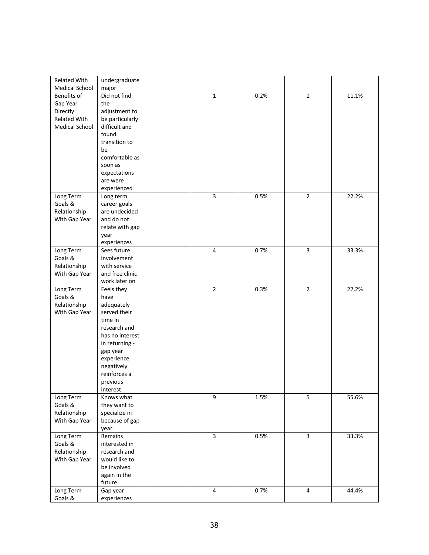| Related With                         | undergraduate                    |                |      |                |       |
|--------------------------------------|----------------------------------|----------------|------|----------------|-------|
| <b>Medical School</b><br>Benefits of | major<br>Did not find            | $\mathbf 1$    | 0.2% | $\mathbf 1$    | 11.1% |
|                                      | the                              |                |      |                |       |
| Gap Year<br>Directly                 |                                  |                |      |                |       |
| Related With                         | adjustment to                    |                |      |                |       |
| Medical School                       | be particularly<br>difficult and |                |      |                |       |
|                                      | found                            |                |      |                |       |
|                                      | transition to                    |                |      |                |       |
|                                      | be                               |                |      |                |       |
|                                      | comfortable as                   |                |      |                |       |
|                                      | soon as                          |                |      |                |       |
|                                      | expectations                     |                |      |                |       |
|                                      | are were                         |                |      |                |       |
|                                      | experienced                      |                |      |                |       |
| Long Term                            | Long term                        | 3              | 0.5% | $\overline{2}$ | 22.2% |
| Goals &                              | career goals                     |                |      |                |       |
| Relationship                         | are undecided                    |                |      |                |       |
| With Gap Year                        | and do not                       |                |      |                |       |
|                                      | relate with gap                  |                |      |                |       |
|                                      | year                             |                |      |                |       |
|                                      | experiences                      |                |      |                |       |
| Long Term                            | Sees future                      | $\sqrt{4}$     | 0.7% | 3              | 33.3% |
| Goals &                              | involvement                      |                |      |                |       |
| Relationship                         | with service                     |                |      |                |       |
| With Gap Year                        | and free clinic                  |                |      |                |       |
|                                      | work later on                    | $\overline{2}$ |      | $\overline{2}$ |       |
| Long Term<br>Goals &                 | Feels they                       |                | 0.3% |                | 22.2% |
| Relationship                         | have<br>adequately               |                |      |                |       |
| With Gap Year                        | served their                     |                |      |                |       |
|                                      | time in                          |                |      |                |       |
|                                      | research and                     |                |      |                |       |
|                                      | has no interest                  |                |      |                |       |
|                                      | in returning -                   |                |      |                |       |
|                                      | gap year                         |                |      |                |       |
|                                      | experience                       |                |      |                |       |
|                                      | negatively                       |                |      |                |       |
|                                      | reinforces a                     |                |      |                |       |
|                                      | previous                         |                |      |                |       |
|                                      | interest                         |                |      |                |       |
| Long Term                            | Knows what                       | 9              | 1.5% | 5              | 55.6% |
| Goals &                              | they want to                     |                |      |                |       |
| Relationship                         | specialize in                    |                |      |                |       |
| With Gap Year                        | because of gap                   |                |      |                |       |
| Long Term                            | year<br>Remains                  | $\overline{3}$ | 0.5% | $\overline{3}$ | 33.3% |
| Goals &                              | interested in                    |                |      |                |       |
| Relationship                         | research and                     |                |      |                |       |
| With Gap Year                        | would like to                    |                |      |                |       |
|                                      | be involved                      |                |      |                |       |
|                                      | again in the                     |                |      |                |       |
|                                      | future                           |                |      |                |       |
| Long Term                            | Gap year                         | $\overline{4}$ | 0.7% | $\overline{4}$ | 44.4% |
| Goals &                              | experiences                      |                |      |                |       |